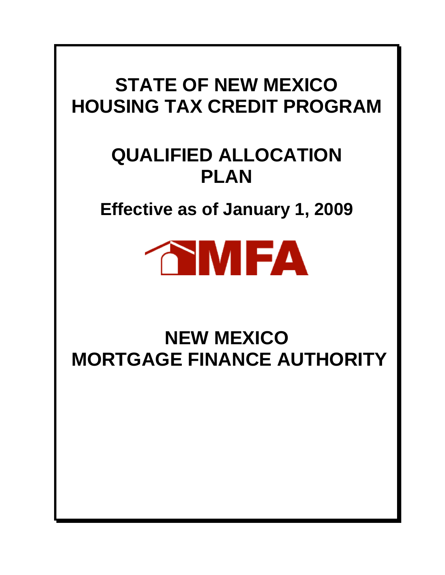# **STATE OF NEW MEXICO HOUSING TAX CREDIT PROGRAM**

# **QUALIFIED ALLOCATION PLAN**

**Effective as of January 1, 2009** 



# **NEW MEXICO MORTGAGE FINANCE AUTHORITY**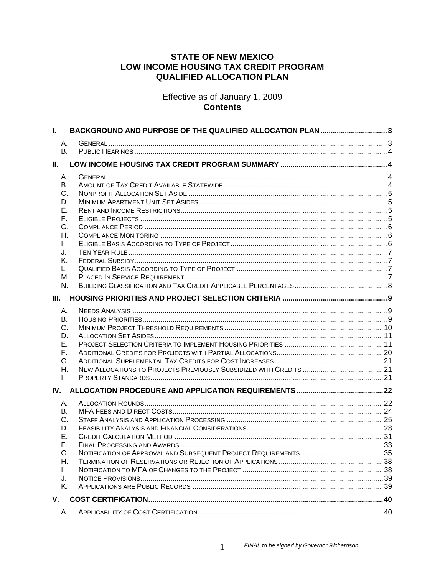# **STATE OF NEW MEXICO** LOW INCOME HOUSING TAX CREDIT PROGRAM **QUALIFIED ALLOCATION PLAN**

Effective as of January 1, 2009 **Contents** 

| L.                                                                               | BACKGROUND AND PURPOSE OF THE QUALIFIED ALLOCATION PLAN 3 |  |
|----------------------------------------------------------------------------------|-----------------------------------------------------------|--|
| А.<br><b>B.</b>                                                                  |                                                           |  |
| Ш.                                                                               |                                                           |  |
| А.<br>В.<br>C.<br>D.<br>Е.<br>F.<br>G.<br>Η.<br>L.<br>J.<br>Κ.<br>L.<br>М.<br>N. |                                                           |  |
| III.                                                                             |                                                           |  |
| А.<br>В.<br>C.<br>D.<br>Е.<br>F.<br>G.<br>Η.<br>I.                               |                                                           |  |
| IV.                                                                              |                                                           |  |
| А.<br>В.<br>C.<br>D.<br>Е.<br>F.<br>G.<br>Η.<br>L.<br>J.<br>Κ.                   |                                                           |  |
| V.                                                                               |                                                           |  |
| А.                                                                               |                                                           |  |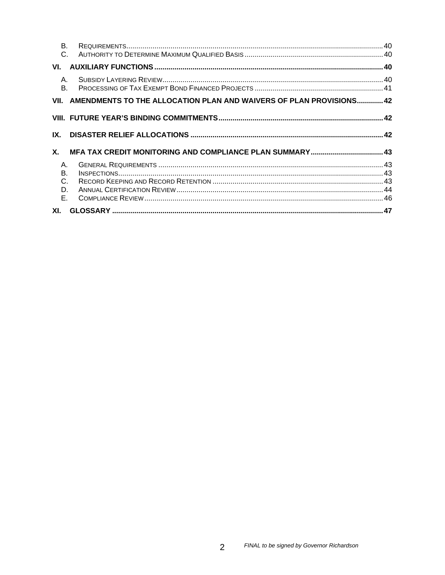| <b>B.</b><br>$\mathsf{C}$  |                                                                          |  |
|----------------------------|--------------------------------------------------------------------------|--|
| VI.                        |                                                                          |  |
| $A_{1}$<br><b>B.</b>       |                                                                          |  |
|                            | VII. AMENDMENTS TO THE ALLOCATION PLAN AND WAIVERS OF PLAN PROVISIONS 42 |  |
|                            |                                                                          |  |
| IX.                        |                                                                          |  |
| Χ.                         |                                                                          |  |
| Α.<br>В.<br>C.<br>D.<br>Е. |                                                                          |  |
|                            |                                                                          |  |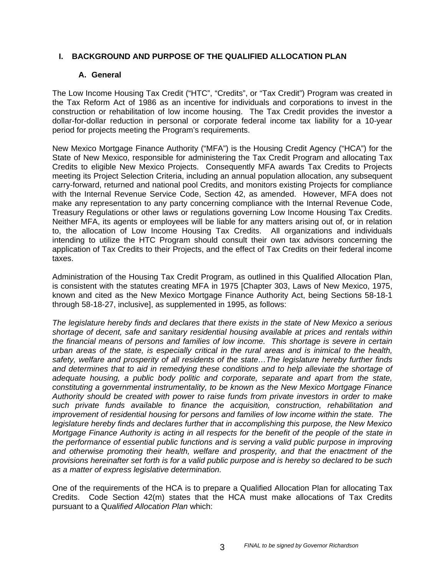# **I. BACKGROUND AND PURPOSE OF THE QUALIFIED ALLOCATION PLAN**

## **A. General**

The Low Income Housing Tax Credit ("HTC", "Credits", or "Tax Credit") Program was created in the Tax Reform Act of 1986 as an incentive for individuals and corporations to invest in the construction or rehabilitation of low income housing. The Tax Credit provides the investor a dollar-for-dollar reduction in personal or corporate federal income tax liability for a 10-year period for projects meeting the Program's requirements.

New Mexico Mortgage Finance Authority ("MFA") is the Housing Credit Agency ("HCA") for the State of New Mexico, responsible for administering the Tax Credit Program and allocating Tax Credits to eligible New Mexico Projects. Consequently MFA awards Tax Credits to Projects meeting its Project Selection Criteria, including an annual population allocation, any subsequent carry-forward, returned and national pool Credits, and monitors existing Projects for compliance with the Internal Revenue Service Code, Section 42, as amended. However, MFA does not make any representation to any party concerning compliance with the Internal Revenue Code, Treasury Regulations or other laws or regulations governing Low Income Housing Tax Credits. Neither MFA, its agents or employees will be liable for any matters arising out of, or in relation to, the allocation of Low Income Housing Tax Credits. All organizations and individuals intending to utilize the HTC Program should consult their own tax advisors concerning the application of Tax Credits to their Projects, and the effect of Tax Credits on their federal income taxes.

Administration of the Housing Tax Credit Program, as outlined in this Qualified Allocation Plan, is consistent with the statutes creating MFA in 1975 [Chapter 303, Laws of New Mexico, 1975, known and cited as the New Mexico Mortgage Finance Authority Act, being Sections 58-18-1 through 58-18-27, inclusive], as supplemented in 1995, as follows:

*The legislature hereby finds and declares that there exists in the state of New Mexico a serious shortage of decent, safe and sanitary residential housing available at prices and rentals within the financial means of persons and families of low income. This shortage is severe in certain urban areas of the state, is especially critical in the rural areas and is inimical to the health, safety, welfare and prosperity of all residents of the state…The legislature hereby further finds and determines that to aid in remedying these conditions and to help alleviate the shortage of adequate housing, a public body politic and corporate, separate and apart from the state, constituting a governmental instrumentality, to be known as the New Mexico Mortgage Finance Authority should be created with power to raise funds from private investors in order to make such private funds available to finance the acquisition, construction, rehabilitation and improvement of residential housing for persons and families of low income within the state. The legislature hereby finds and declares further that in accomplishing this purpose, the New Mexico Mortgage Finance Authority is acting in all respects for the benefit of the people of the state in the performance of essential public functions and is serving a valid public purpose in improving and otherwise promoting their health, welfare and prosperity, and that the enactment of the provisions hereinafter set forth is for a valid public purpose and is hereby so declared to be such as a matter of express legislative determination.* 

One of the requirements of the HCA is to prepare a Qualified Allocation Plan for allocating Tax Credits. Code Section 42(m) states that the HCA must make allocations of Tax Credits pursuant to a Q*ualified Allocation Plan* which: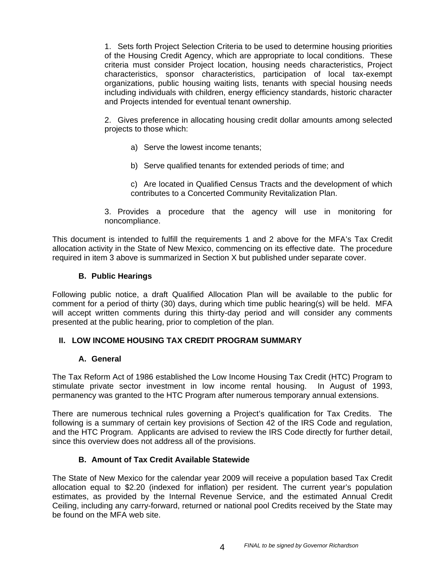1. Sets forth Project Selection Criteria to be used to determine housing priorities of the Housing Credit Agency, which are appropriate to local conditions. These criteria must consider Project location, housing needs characteristics, Project characteristics, sponsor characteristics, participation of local tax-exempt organizations, public housing waiting lists, tenants with special housing needs including individuals with children, energy efficiency standards, historic character and Projects intended for eventual tenant ownership.

2. Gives preference in allocating housing credit dollar amounts among selected projects to those which:

- a) Serve the lowest income tenants;
- b) Serve qualified tenants for extended periods of time; and
- c) Are located in Qualified Census Tracts and the development of which contributes to a Concerted Community Revitalization Plan.
- 3. Provides a procedure that the agency will use in monitoring for noncompliance.

This document is intended to fulfill the requirements 1 and 2 above for the MFA's Tax Credit allocation activity in the State of New Mexico, commencing on its effective date. The procedure required in item 3 above is summarized in Section X but published under separate cover.

# **B. Public Hearings**

Following public notice, a draft Qualified Allocation Plan will be available to the public for comment for a period of thirty (30) days, during which time public hearing(s) will be held. MFA will accept written comments during this thirty-day period and will consider any comments presented at the public hearing, prior to completion of the plan.

## **II. LOW INCOME HOUSING TAX CREDIT PROGRAM SUMMARY**

## **A. General**

The Tax Reform Act of 1986 established the Low Income Housing Tax Credit (HTC) Program to stimulate private sector investment in low income rental housing. In August of 1993, permanency was granted to the HTC Program after numerous temporary annual extensions.

There are numerous technical rules governing a Project's qualification for Tax Credits. The following is a summary of certain key provisions of Section 42 of the IRS Code and regulation, and the HTC Program. Applicants are advised to review the IRS Code directly for further detail, since this overview does not address all of the provisions.

## **B. Amount of Tax Credit Available Statewide**

The State of New Mexico for the calendar year 2009 will receive a population based Tax Credit allocation equal to \$2.20 (indexed for inflation) per resident. The current year's population estimates, as provided by the Internal Revenue Service, and the estimated Annual Credit Ceiling, including any carry-forward, returned or national pool Credits received by the State may be found on the MFA web site.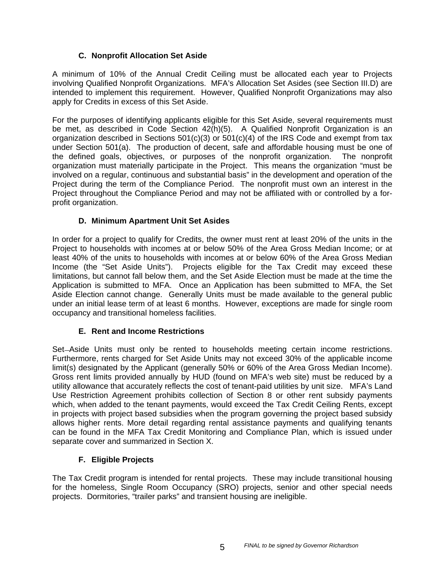# **C. Nonprofit Allocation Set Aside**

A minimum of 10% of the Annual Credit Ceiling must be allocated each year to Projects involving Qualified Nonprofit Organizations. MFA's Allocation Set Asides (see Section III.D) are intended to implement this requirement. However, Qualified Nonprofit Organizations may also apply for Credits in excess of this Set Aside.

For the purposes of identifying applicants eligible for this Set Aside, several requirements must be met, as described in Code Section 42(h)(5). A Qualified Nonprofit Organization is an organization described in Sections  $501(c)(3)$  or  $501(c)(4)$  of the IRS Code and exempt from tax under Section 501(a). The production of decent, safe and affordable housing must be one of the defined goals, objectives, or purposes of the nonprofit organization. The nonprofit organization must materially participate in the Project. This means the organization "must be involved on a regular, continuous and substantial basis" in the development and operation of the Project during the term of the Compliance Period. The nonprofit must own an interest in the Project throughout the Compliance Period and may not be affiliated with or controlled by a forprofit organization.

# **D. Minimum Apartment Unit Set Asides**

In order for a project to qualify for Credits, the owner must rent at least 20% of the units in the Project to households with incomes at or below 50% of the Area Gross Median Income; or at least 40% of the units to households with incomes at or below 60% of the Area Gross Median Income (the "Set Aside Units"). Projects eligible for the Tax Credit may exceed these limitations, but cannot fall below them, and the Set Aside Election must be made at the time the Application is submitted to MFA. Once an Application has been submitted to MFA, the Set Aside Election cannot change. Generally Units must be made available to the general public under an initial lease term of at least 6 months. However, exceptions are made for single room occupancy and transitional homeless facilities.

# **E. Rent and Income Restrictions**

Set-Aside Units must only be rented to households meeting certain income restrictions. Furthermore, rents charged for Set Aside Units may not exceed 30% of the applicable income limit(s) designated by the Applicant (generally 50% or 60% of the Area Gross Median Income). Gross rent limits provided annually by HUD (found on MFA's web site) must be reduced by a utility allowance that accurately reflects the cost of tenant-paid utilities by unit size. MFA's Land Use Restriction Agreement prohibits collection of Section 8 or other rent subsidy payments which, when added to the tenant payments, would exceed the Tax Credit Ceiling Rents, except in projects with project based subsidies when the program governing the project based subsidy allows higher rents. More detail regarding rental assistance payments and qualifying tenants can be found in the MFA Tax Credit Monitoring and Compliance Plan, which is issued under separate cover and summarized in Section X.

# **F. Eligible Projects**

The Tax Credit program is intended for rental projects. These may include transitional housing for the homeless, Single Room Occupancy (SRO) projects, senior and other special needs projects. Dormitories, "trailer parks" and transient housing are ineligible.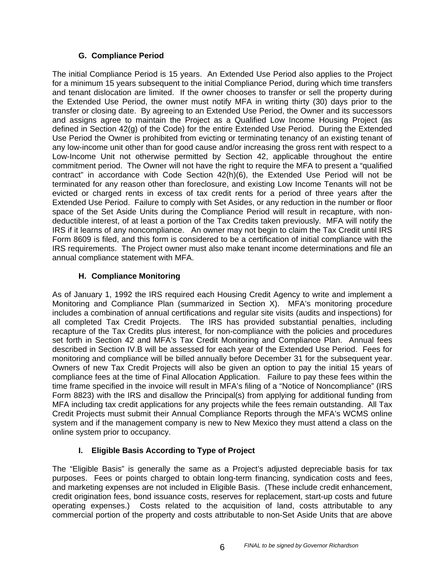# **G. Compliance Period**

The initial Compliance Period is 15 years. An Extended Use Period also applies to the Project for a minimum 15 years subsequent to the initial Compliance Period, during which time transfers and tenant dislocation are limited. If the owner chooses to transfer or sell the property during the Extended Use Period, the owner must notify MFA in writing thirty (30) days prior to the transfer or closing date. By agreeing to an Extended Use Period, the Owner and its successors and assigns agree to maintain the Project as a Qualified Low Income Housing Project (as defined in Section 42(g) of the Code) for the entire Extended Use Period. During the Extended Use Period the Owner is prohibited from evicting or terminating tenancy of an existing tenant of any low-income unit other than for good cause and/or increasing the gross rent with respect to a Low-Income Unit not otherwise permitted by Section 42, applicable throughout the entire commitment period. The Owner will not have the right to require the MFA to present a "qualified contract" in accordance with Code Section 42(h)(6), the Extended Use Period will not be terminated for any reason other than foreclosure, and existing Low Income Tenants will not be evicted or charged rents in excess of tax credit rents for a period of three years after the Extended Use Period. Failure to comply with Set Asides, or any reduction in the number or floor space of the Set Aside Units during the Compliance Period will result in recapture, with nondeductible interest, of at least a portion of the Tax Credits taken previously. MFA will notify the IRS if it learns of any noncompliance. An owner may not begin to claim the Tax Credit until IRS Form 8609 is filed, and this form is considered to be a certification of initial compliance with the IRS requirements. The Project owner must also make tenant income determinations and file an annual compliance statement with MFA.

# **H. Compliance Monitoring**

As of January 1, 1992 the IRS required each Housing Credit Agency to write and implement a Monitoring and Compliance Plan (summarized in Section X). MFA's monitoring procedure includes a combination of annual certifications and regular site visits (audits and inspections) for all completed Tax Credit Projects. The IRS has provided substantial penalties, including recapture of the Tax Credits plus interest, for non-compliance with the policies and procedures set forth in Section 42 and MFA's Tax Credit Monitoring and Compliance Plan. Annual fees described in Section IV.B will be assessed for each year of the Extended Use Period. Fees for monitoring and compliance will be billed annually before December 31 for the subsequent year. Owners of new Tax Credit Projects will also be given an option to pay the initial 15 years of compliance fees at the time of Final Allocation Application. Failure to pay these fees within the time frame specified in the invoice will result in MFA's filing of a "Notice of Noncompliance" (IRS Form 8823) with the IRS and disallow the Principal(s) from applying for additional funding from MFA including tax credit applications for any projects while the fees remain outstanding. All Tax Credit Projects must submit their Annual Compliance Reports through the MFA's WCMS online system and if the management company is new to New Mexico they must attend a class on the online system prior to occupancy.

# **I. Eligible Basis According to Type of Project**

The "Eligible Basis" is generally the same as a Project's adjusted depreciable basis for tax purposes. Fees or points charged to obtain long-term financing, syndication costs and fees, and marketing expenses are not included in Eligible Basis. (These include credit enhancement, credit origination fees, bond issuance costs, reserves for replacement, start-up costs and future operating expenses.) Costs related to the acquisition of land, costs attributable to any commercial portion of the property and costs attributable to non-Set Aside Units that are above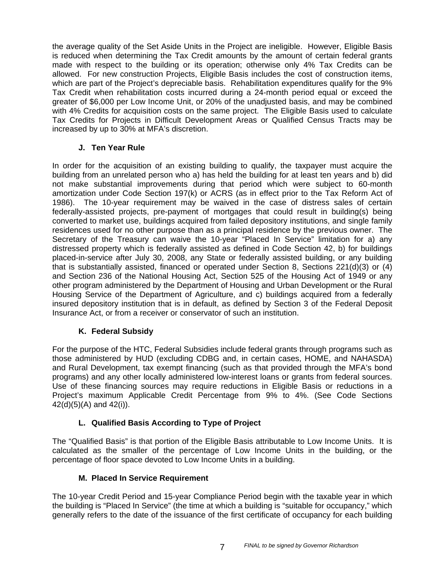the average quality of the Set Aside Units in the Project are ineligible. However, Eligible Basis is reduced when determining the Tax Credit amounts by the amount of certain federal grants made with respect to the building or its operation; otherwise only 4% Tax Credits can be allowed. For new construction Projects, Eligible Basis includes the cost of construction items, which are part of the Project's depreciable basis. Rehabilitation expenditures qualify for the 9% Tax Credit when rehabilitation costs incurred during a 24-month period equal or exceed the greater of \$6,000 per Low Income Unit, or 20% of the unadjusted basis, and may be combined with 4% Credits for acquisition costs on the same project. The Eligible Basis used to calculate Tax Credits for Projects in Difficult Development Areas or Qualified Census Tracts may be increased by up to 30% at MFA's discretion.

# **J. Ten Year Rule**

In order for the acquisition of an existing building to qualify, the taxpayer must acquire the building from an unrelated person who a) has held the building for at least ten years and b) did not make substantial improvements during that period which were subject to 60-month amortization under Code Section 197(k) or ACRS (as in effect prior to the Tax Reform Act of 1986). The 10-year requirement may be waived in the case of distress sales of certain federally-assisted projects, pre-payment of mortgages that could result in building(s) being converted to market use, buildings acquired from failed depository institutions, and single family residences used for no other purpose than as a principal residence by the previous owner. The Secretary of the Treasury can waive the 10-year "Placed In Service" limitation for a) any distressed property which is federally assisted as defined in Code Section 42, b) for buildings placed-in-service after July 30, 2008, any State or federally assisted building, or any building that is substantially assisted, financed or operated under Section 8, Sections 221(d)(3) or (4) and Section 236 of the National Housing Act, Section 525 of the Housing Act of 1949 or any other program administered by the Department of Housing and Urban Development or the Rural Housing Service of the Department of Agriculture, and c) buildings acquired from a federally insured depository institution that is in default, as defined by Section 3 of the Federal Deposit Insurance Act, or from a receiver or conservator of such an institution.

# **K. Federal Subsidy**

For the purpose of the HTC, Federal Subsidies include federal grants through programs such as those administered by HUD (excluding CDBG and, in certain cases, HOME, and NAHASDA) and Rural Development, tax exempt financing (such as that provided through the MFA's bond programs) and any other locally administered low-interest loans or grants from federal sources. Use of these financing sources may require reductions in Eligible Basis or reductions in a Project's maximum Applicable Credit Percentage from 9% to 4%. (See Code Sections 42(d)(5)(A) and 42(i)).

# **L. Qualified Basis According to Type of Project**

The "Qualified Basis" is that portion of the Eligible Basis attributable to Low Income Units. It is calculated as the smaller of the percentage of Low Income Units in the building, or the percentage of floor space devoted to Low Income Units in a building.

## **M. Placed In Service Requirement**

The 10-year Credit Period and 15-year Compliance Period begin with the taxable year in which the building is "Placed In Service" (the time at which a building is "suitable for occupancy," which generally refers to the date of the issuance of the first certificate of occupancy for each building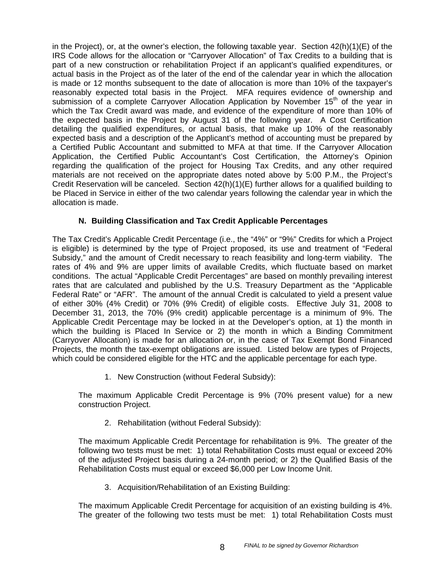in the Project), or, at the owner's election, the following taxable year. Section  $42(h)(1)(E)$  of the IRS Code allows for the allocation or "Carryover Allocation" of Tax Credits to a building that is part of a new construction or rehabilitation Project if an applicant's qualified expenditures, or actual basis in the Project as of the later of the end of the calendar year in which the allocation is made or 12 months subsequent to the date of allocation is more than 10% of the taxpayer's reasonably expected total basis in the Project. MFA requires evidence of ownership and submission of a complete Carryover Allocation Application by November 15<sup>th</sup> of the year in which the Tax Credit award was made, and evidence of the expenditure of more than 10% of the expected basis in the Project by August 31 of the following year. A Cost Certification detailing the qualified expenditures, or actual basis, that make up 10% of the reasonably expected basis and a description of the Applicant's method of accounting must be prepared by a Certified Public Accountant and submitted to MFA at that time. If the Carryover Allocation Application, the Certified Public Accountant's Cost Certification, the Attorney's Opinion regarding the qualification of the project for Housing Tax Credits, and any other required materials are not received on the appropriate dates noted above by 5:00 P.M., the Project's Credit Reservation will be canceled. Section  $42(h)(1)(E)$  further allows for a qualified building to be Placed in Service in either of the two calendar years following the calendar year in which the allocation is made.

# **N. Building Classification and Tax Credit Applicable Percentages**

The Tax Credit's Applicable Credit Percentage (i.e., the "4%" or "9%" Credits for which a Project is eligible) is determined by the type of Project proposed, its use and treatment of "Federal Subsidy," and the amount of Credit necessary to reach feasibility and long-term viability. The rates of 4% and 9% are upper limits of available Credits, which fluctuate based on market conditions. The actual "Applicable Credit Percentages" are based on monthly prevailing interest rates that are calculated and published by the U.S. Treasury Department as the "Applicable Federal Rate" or "AFR". The amount of the annual Credit is calculated to yield a present value of either 30% (4% Credit) or 70% (9% Credit) of eligible costs. Effective July 31, 2008 to December 31, 2013, the 70% (9% credit) applicable percentage is a minimum of 9%. The Applicable Credit Percentage may be locked in at the Developer's option, at 1) the month in which the building is Placed In Service or 2) the month in which a Binding Commitment (Carryover Allocation) is made for an allocation or, in the case of Tax Exempt Bond Financed Projects, the month the tax-exempt obligations are issued. Listed below are types of Projects, which could be considered eligible for the HTC and the applicable percentage for each type.

1. New Construction (without Federal Subsidy):

The maximum Applicable Credit Percentage is 9% (70% present value) for a new construction Project.

2. Rehabilitation (without Federal Subsidy):

The maximum Applicable Credit Percentage for rehabilitation is 9%. The greater of the following two tests must be met: 1) total Rehabilitation Costs must equal or exceed 20% of the adjusted Project basis during a 24-month period; or 2) the Qualified Basis of the Rehabilitation Costs must equal or exceed \$6,000 per Low Income Unit.

3. Acquisition/Rehabilitation of an Existing Building:

The maximum Applicable Credit Percentage for acquisition of an existing building is 4%. The greater of the following two tests must be met: 1) total Rehabilitation Costs must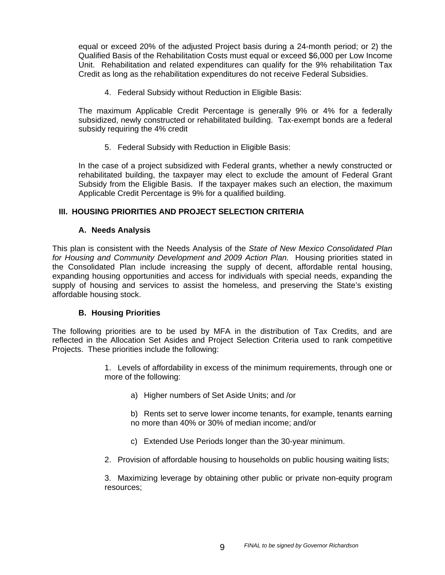equal or exceed 20% of the adjusted Project basis during a 24-month period; or 2) the Qualified Basis of the Rehabilitation Costs must equal or exceed \$6,000 per Low Income Unit. Rehabilitation and related expenditures can qualify for the 9% rehabilitation Tax Credit as long as the rehabilitation expenditures do not receive Federal Subsidies.

4. Federal Subsidy without Reduction in Eligible Basis:

The maximum Applicable Credit Percentage is generally 9% or 4% for a federally subsidized, newly constructed or rehabilitated building. Tax-exempt bonds are a federal subsidy requiring the 4% credit

5. Federal Subsidy with Reduction in Eligible Basis:

In the case of a project subsidized with Federal grants, whether a newly constructed or rehabilitated building, the taxpayer may elect to exclude the amount of Federal Grant Subsidy from the Eligible Basis. If the taxpayer makes such an election, the maximum Applicable Credit Percentage is 9% for a qualified building.

## **III. HOUSING PRIORITIES AND PROJECT SELECTION CRITERIA**

## **A. Needs Analysis**

This plan is consistent with the Needs Analysis of the *State of New Mexico Consolidated Plan for Housing and Community Development and 2009 Action Plan.* Housing priorities stated in the Consolidated Plan include increasing the supply of decent, affordable rental housing, expanding housing opportunities and access for individuals with special needs, expanding the supply of housing and services to assist the homeless, and preserving the State's existing affordable housing stock.

#### **B. Housing Priorities**

The following priorities are to be used by MFA in the distribution of Tax Credits, and are reflected in the Allocation Set Asides and Project Selection Criteria used to rank competitive Projects. These priorities include the following:

> 1. Levels of affordability in excess of the minimum requirements, through one or more of the following:

- a) Higher numbers of Set Aside Units; and /or
- b) Rents set to serve lower income tenants, for example, tenants earning no more than 40% or 30% of median income; and/or
- c) Extended Use Periods longer than the 30-year minimum.
- 2. Provision of affordable housing to households on public housing waiting lists;

3. Maximizing leverage by obtaining other public or private non-equity program resources;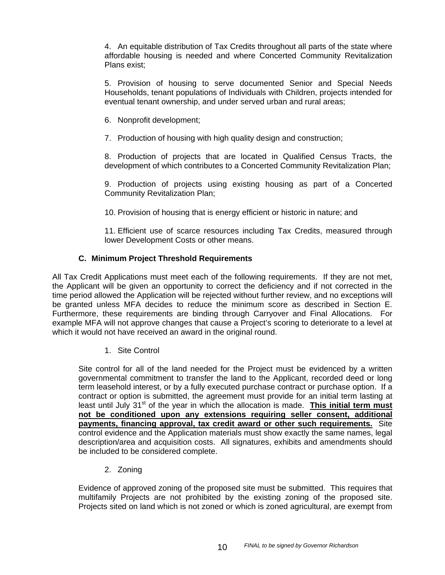4. An equitable distribution of Tax Credits throughout all parts of the state where affordable housing is needed and where Concerted Community Revitalization Plans exist;

5. Provision of housing to serve documented Senior and Special Needs Households, tenant populations of Individuals with Children, projects intended for eventual tenant ownership, and under served urban and rural areas;

6. Nonprofit development;

7. Production of housing with high quality design and construction;

8. Production of projects that are located in Qualified Census Tracts, the development of which contributes to a Concerted Community Revitalization Plan;

9. Production of projects using existing housing as part of a Concerted Community Revitalization Plan;

10. Provision of housing that is energy efficient or historic in nature; and

11. Efficient use of scarce resources including Tax Credits, measured through lower Development Costs or other means.

#### **C. Minimum Project Threshold Requirements**

All Tax Credit Applications must meet each of the following requirements. If they are not met, the Applicant will be given an opportunity to correct the deficiency and if not corrected in the time period allowed the Application will be rejected without further review, and no exceptions will be granted unless MFA decides to reduce the minimum score as described in Section E. Furthermore, these requirements are binding through Carryover and Final Allocations. For example MFA will not approve changes that cause a Project's scoring to deteriorate to a level at which it would not have received an award in the original round.

#### 1. Site Control

Site control for all of the land needed for the Project must be evidenced by a written governmental commitment to transfer the land to the Applicant, recorded deed or long term leasehold interest, or by a fully executed purchase contract or purchase option. If a contract or option is submitted, the agreement must provide for an initial term lasting at least until July 31<sup>st</sup> of the year in which the allocation is made. **This initial term must not be conditioned upon any extensions requiring seller consent, additional payments, financing approval, tax credit award or other such requirements.** Site control evidence and the Application materials must show exactly the same names, legal description/area and acquisition costs. All signatures, exhibits and amendments should be included to be considered complete.

2. Zoning

Evidence of approved zoning of the proposed site must be submitted. This requires that multifamily Projects are not prohibited by the existing zoning of the proposed site. Projects sited on land which is not zoned or which is zoned agricultural, are exempt from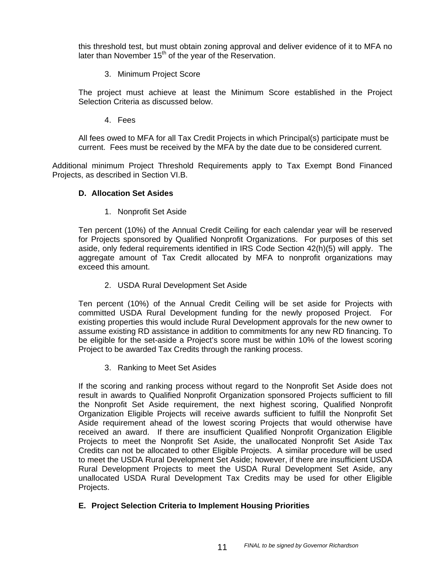this threshold test, but must obtain zoning approval and deliver evidence of it to MFA no later than November  $15<sup>th</sup>$  of the year of the Reservation.

3. Minimum Project Score

The project must achieve at least the Minimum Score established in the Project Selection Criteria as discussed below.

4. Fees

All fees owed to MFA for all Tax Credit Projects in which Principal(s) participate must be current. Fees must be received by the MFA by the date due to be considered current.

Additional minimum Project Threshold Requirements apply to Tax Exempt Bond Financed Projects, as described in Section VI.B.

#### **D. Allocation Set Asides**

1. Nonprofit Set Aside

Ten percent (10%) of the Annual Credit Ceiling for each calendar year will be reserved for Projects sponsored by Qualified Nonprofit Organizations. For purposes of this set aside, only federal requirements identified in IRS Code Section 42(h)(5) will apply. The aggregate amount of Tax Credit allocated by MFA to nonprofit organizations may exceed this amount.

2. USDA Rural Development Set Aside

Ten percent (10%) of the Annual Credit Ceiling will be set aside for Projects with committed USDA Rural Development funding for the newly proposed Project. For existing properties this would include Rural Development approvals for the new owner to assume existing RD assistance in addition to commitments for any new RD financing. To be eligible for the set-aside a Project's score must be within 10% of the lowest scoring Project to be awarded Tax Credits through the ranking process.

3. Ranking to Meet Set Asides

If the scoring and ranking process without regard to the Nonprofit Set Aside does not result in awards to Qualified Nonprofit Organization sponsored Projects sufficient to fill the Nonprofit Set Aside requirement, the next highest scoring, Qualified Nonprofit Organization Eligible Projects will receive awards sufficient to fulfill the Nonprofit Set Aside requirement ahead of the lowest scoring Projects that would otherwise have received an award. If there are insufficient Qualified Nonprofit Organization Eligible Projects to meet the Nonprofit Set Aside, the unallocated Nonprofit Set Aside Tax Credits can not be allocated to other Eligible Projects. A similar procedure will be used to meet the USDA Rural Development Set Aside; however, if there are insufficient USDA Rural Development Projects to meet the USDA Rural Development Set Aside, any unallocated USDA Rural Development Tax Credits may be used for other Eligible Projects.

## **E. Project Selection Criteria to Implement Housing Priorities**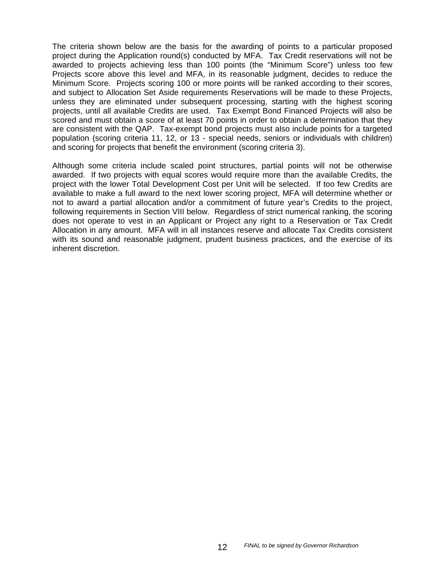The criteria shown below are the basis for the awarding of points to a particular proposed project during the Application round(s) conducted by MFA. Tax Credit reservations will not be awarded to projects achieving less than 100 points (the "Minimum Score") unless too few Projects score above this level and MFA, in its reasonable judgment, decides to reduce the Minimum Score. Projects scoring 100 or more points will be ranked according to their scores, and subject to Allocation Set Aside requirements Reservations will be made to these Projects, unless they are eliminated under subsequent processing, starting with the highest scoring projects, until all available Credits are used. Tax Exempt Bond Financed Projects will also be scored and must obtain a score of at least 70 points in order to obtain a determination that they are consistent with the QAP. Tax-exempt bond projects must also include points for a targeted population (scoring criteria 11, 12, or 13 - special needs, seniors or individuals with children) and scoring for projects that benefit the environment (scoring criteria 3).

Although some criteria include scaled point structures, partial points will not be otherwise awarded. If two projects with equal scores would require more than the available Credits, the project with the lower Total Development Cost per Unit will be selected. If too few Credits are available to make a full award to the next lower scoring project, MFA will determine whether or not to award a partial allocation and/or a commitment of future year's Credits to the project, following requirements in Section VIII below. Regardless of strict numerical ranking, the scoring does not operate to vest in an Applicant or Project any right to a Reservation or Tax Credit Allocation in any amount. MFA will in all instances reserve and allocate Tax Credits consistent with its sound and reasonable judgment, prudent business practices, and the exercise of its inherent discretion.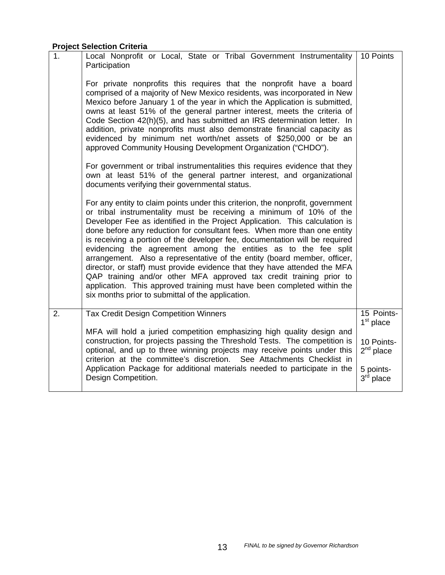# **Project Selection Criteria**

| 1. | Local Nonprofit or Local, State or Tribal Government Instrumentality<br>Participation                                                                                                                                                                                                                                                                                                                                                                                                                                                                                                                                                                                                                                                                                                                                              | 10 Points                              |
|----|------------------------------------------------------------------------------------------------------------------------------------------------------------------------------------------------------------------------------------------------------------------------------------------------------------------------------------------------------------------------------------------------------------------------------------------------------------------------------------------------------------------------------------------------------------------------------------------------------------------------------------------------------------------------------------------------------------------------------------------------------------------------------------------------------------------------------------|----------------------------------------|
|    | For private nonprofits this requires that the nonprofit have a board<br>comprised of a majority of New Mexico residents, was incorporated in New<br>Mexico before January 1 of the year in which the Application is submitted,<br>owns at least 51% of the general partner interest, meets the criteria of<br>Code Section 42(h)(5), and has submitted an IRS determination letter. In<br>addition, private nonprofits must also demonstrate financial capacity as<br>evidenced by minimum net worth/net assets of \$250,000 or be an<br>approved Community Housing Development Organization ("CHDO").                                                                                                                                                                                                                             |                                        |
|    | For government or tribal instrumentalities this requires evidence that they<br>own at least 51% of the general partner interest, and organizational<br>documents verifying their governmental status.                                                                                                                                                                                                                                                                                                                                                                                                                                                                                                                                                                                                                              |                                        |
|    | For any entity to claim points under this criterion, the nonprofit, government<br>or tribal instrumentality must be receiving a minimum of 10% of the<br>Developer Fee as identified in the Project Application. This calculation is<br>done before any reduction for consultant fees. When more than one entity<br>is receiving a portion of the developer fee, documentation will be required<br>evidencing the agreement among the entities as to the fee split<br>arrangement. Also a representative of the entity (board member, officer,<br>director, or staff) must provide evidence that they have attended the MFA<br>QAP training and/or other MFA approved tax credit training prior to<br>application. This approved training must have been completed within the<br>six months prior to submittal of the application. |                                        |
| 2. | <b>Tax Credit Design Competition Winners</b>                                                                                                                                                                                                                                                                                                                                                                                                                                                                                                                                                                                                                                                                                                                                                                                       | 15 Points-<br>$1st$ place              |
|    | MFA will hold a juried competition emphasizing high quality design and<br>construction, for projects passing the Threshold Tests. The competition is<br>optional, and up to three winning projects may receive points under this<br>criterion at the committee's discretion. See Attachments Checklist in<br>Application Package for additional materials needed to participate in the                                                                                                                                                                                                                                                                                                                                                                                                                                             | 10 Points-<br>$2nd$ place<br>5 points- |
|    | Design Competition.                                                                                                                                                                                                                                                                                                                                                                                                                                                                                                                                                                                                                                                                                                                                                                                                                | $3rd$ place                            |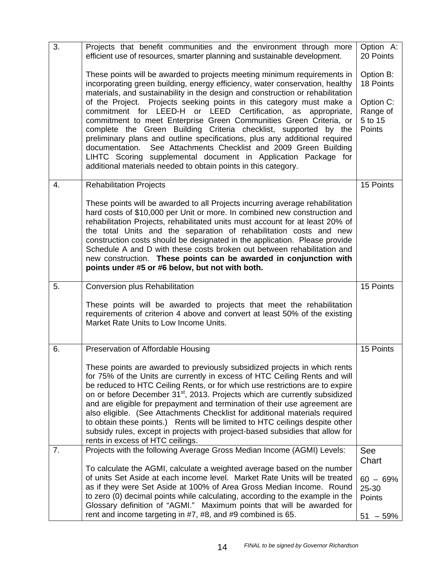| 3. | Projects that benefit communities and the environment through more<br>efficient use of resources, smarter planning and sustainable development.                                                                                                                                                                                                                                                                                                                                                                                                                                                                                                                                                                                                                                                                       | Option A:<br>20 Points                                               |
|----|-----------------------------------------------------------------------------------------------------------------------------------------------------------------------------------------------------------------------------------------------------------------------------------------------------------------------------------------------------------------------------------------------------------------------------------------------------------------------------------------------------------------------------------------------------------------------------------------------------------------------------------------------------------------------------------------------------------------------------------------------------------------------------------------------------------------------|----------------------------------------------------------------------|
|    | These points will be awarded to projects meeting minimum requirements in<br>incorporating green building, energy efficiency, water conservation, healthy<br>materials, and sustainability in the design and construction or rehabilitation<br>of the Project. Projects seeking points in this category must make a<br>commitment for LEED-H or LEED Certification, as<br>appropriate,<br>commitment to meet Enterprise Green Communities Green Criteria, or<br>complete the Green Building Criteria checklist, supported by the<br>preliminary plans and outline specifications, plus any additional required<br>documentation. See Attachments Checklist and 2009 Green Building<br>LIHTC Scoring supplemental document in Application Package for<br>additional materials needed to obtain points in this category. | Option B:<br>18 Points<br>Option C:<br>Range of<br>5 to 15<br>Points |
| 4. | <b>Rehabilitation Projects</b>                                                                                                                                                                                                                                                                                                                                                                                                                                                                                                                                                                                                                                                                                                                                                                                        | 15 Points                                                            |
|    | These points will be awarded to all Projects incurring average rehabilitation<br>hard costs of \$10,000 per Unit or more. In combined new construction and<br>rehabilitation Projects, rehabilitated units must account for at least 20% of<br>the total Units and the separation of rehabilitation costs and new<br>construction costs should be designated in the application. Please provide<br>Schedule A and D with these costs broken out between rehabilitation and<br>new construction. These points can be awarded in conjunction with<br>points under #5 or #6 below, but not with both.                                                                                                                                                                                                                    |                                                                      |
| 5. | Conversion plus Rehabilitation                                                                                                                                                                                                                                                                                                                                                                                                                                                                                                                                                                                                                                                                                                                                                                                        | 15 Points                                                            |
|    | These points will be awarded to projects that meet the rehabilitation<br>requirements of criterion 4 above and convert at least 50% of the existing<br>Market Rate Units to Low Income Units.                                                                                                                                                                                                                                                                                                                                                                                                                                                                                                                                                                                                                         |                                                                      |
| 6. | Preservation of Affordable Housing                                                                                                                                                                                                                                                                                                                                                                                                                                                                                                                                                                                                                                                                                                                                                                                    | 15 Points                                                            |
|    | These points are awarded to previously subsidized projects in which rents<br>for 75% of the Units are currently in excess of HTC Ceiling Rents and will<br>be reduced to HTC Ceiling Rents, or for which use restrictions are to expire<br>on or before December 31 <sup>st</sup> , 2013. Projects which are currently subsidized<br>and are eligible for prepayment and termination of their use agreement are<br>also eligible. (See Attachments Checklist for additional materials required<br>to obtain these points.) Rents will be limited to HTC ceilings despite other<br>subsidy rules, except in projects with project-based subsidies that allow for<br>rents in excess of HTC ceilings.                                                                                                                   |                                                                      |
| 7. | Projects with the following Average Gross Median Income (AGMI) Levels:                                                                                                                                                                                                                                                                                                                                                                                                                                                                                                                                                                                                                                                                                                                                                | <b>See</b><br>Chart                                                  |
|    | To calculate the AGMI, calculate a weighted average based on the number<br>of units Set Aside at each income level. Market Rate Units will be treated<br>as if they were Set Aside at 100% of Area Gross Median Income. Round<br>to zero (0) decimal points while calculating, according to the example in the<br>Glossary definition of "AGMI." Maximum points that will be awarded for                                                                                                                                                                                                                                                                                                                                                                                                                              | $60 - 69%$<br>25-30<br>Points                                        |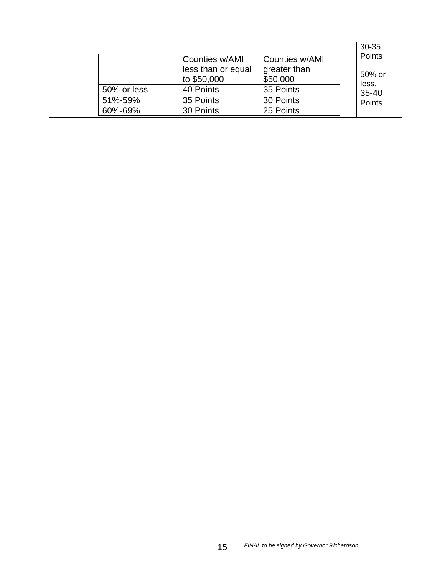|             |                    |                | $30 - 35$ |
|-------------|--------------------|----------------|-----------|
|             | Counties w/AMI     | Counties w/AMI | Points    |
|             | less than or equal | greater than   | 50% or    |
|             | to \$50,000        | \$50,000       | less,     |
| 50% or less | 40 Points          | 35 Points      | $35 - 40$ |
| 51%-59%     | 35 Points          | 30 Points      | Points    |
| 60%-69%     | 30 Points          | 25 Points      |           |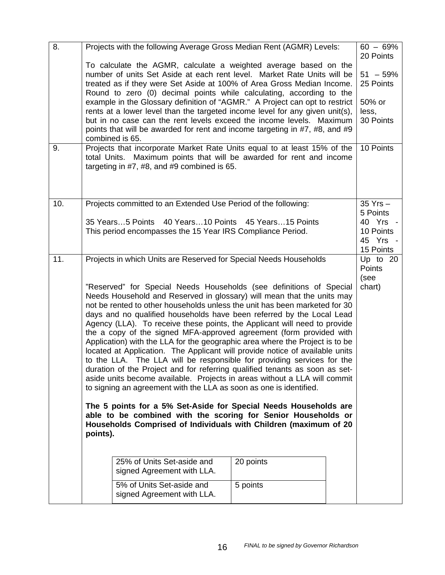| 8.  |          | Projects with the following Average Gross Median Rent (AGMR) Levels:                                                                                         |           | $60 - 69%$<br>20 Points |
|-----|----------|--------------------------------------------------------------------------------------------------------------------------------------------------------------|-----------|-------------------------|
|     |          | To calculate the AGMR, calculate a weighted average based on the                                                                                             |           |                         |
|     |          | number of units Set Aside at each rent level. Market Rate Units will be                                                                                      |           | $51 - 59\%$             |
|     |          | treated as if they were Set Aside at 100% of Area Gross Median Income.                                                                                       |           | 25 Points               |
|     |          | Round to zero (0) decimal points while calculating, according to the<br>example in the Glossary definition of "AGMR." A Project can opt to restrict          |           | 50% or                  |
|     |          | rents at a lower level than the targeted income level for any given unit(s),                                                                                 |           | less,                   |
|     |          | but in no case can the rent levels exceed the income levels. Maximum                                                                                         |           | 30 Points               |
|     |          | points that will be awarded for rent and income targeting in #7, #8, and #9                                                                                  |           |                         |
|     |          | combined is 65.                                                                                                                                              |           |                         |
| 9.  |          | Projects that incorporate Market Rate Units equal to at least 15% of the                                                                                     |           | 10 Points               |
|     |          | total Units. Maximum points that will be awarded for rent and income<br>targeting in #7, #8, and #9 combined is 65.                                          |           |                         |
|     |          |                                                                                                                                                              |           |                         |
|     |          |                                                                                                                                                              |           |                         |
|     |          |                                                                                                                                                              |           |                         |
| 10. |          | Projects committed to an Extended Use Period of the following:                                                                                               |           | $35$ Yrs $-$            |
|     |          |                                                                                                                                                              |           | 5 Points                |
|     |          | 35 Years5 Points 40 Years10 Points 45 Years15 Points<br>This period encompasses the 15 Year IRS Compliance Period.                                           |           | 40 Yrs -<br>10 Points   |
|     |          |                                                                                                                                                              |           | 45 Yrs -                |
|     |          |                                                                                                                                                              |           | 15 Points               |
| 11. |          | Projects in which Units are Reserved for Special Needs Households                                                                                            |           | Up to 20                |
|     |          |                                                                                                                                                              |           | Points                  |
|     |          | "Reserved" for Special Needs Households (see definitions of Special                                                                                          |           | (see<br>chart)          |
|     |          | Needs Household and Reserved in glossary) will mean that the units may                                                                                       |           |                         |
|     |          | not be rented to other households unless the unit has been marketed for 30                                                                                   |           |                         |
|     |          | days and no qualified households have been referred by the Local Lead                                                                                        |           |                         |
|     |          | Agency (LLA). To receive these points, the Applicant will need to provide                                                                                    |           |                         |
|     |          | the a copy of the signed MFA-approved agreement (form provided with                                                                                          |           |                         |
|     |          | Application) with the LLA for the geographic area where the Project is to be<br>located at Application. The Applicant will provide notice of available units |           |                         |
|     |          | to the LLA. The LLA will be responsible for providing services for the                                                                                       |           |                         |
|     |          | duration of the Project and for referring qualified tenants as soon as set-                                                                                  |           |                         |
|     |          | aside units become available. Projects in areas without a LLA will commit                                                                                    |           |                         |
|     |          | to signing an agreement with the LLA as soon as one is identified.                                                                                           |           |                         |
|     |          |                                                                                                                                                              |           |                         |
|     |          | The 5 points for a 5% Set-Aside for Special Needs Households are<br>able to be combined with the scoring for Senior Households or                            |           |                         |
|     |          | Households Comprised of Individuals with Children (maximum of 20                                                                                             |           |                         |
|     | points). |                                                                                                                                                              |           |                         |
|     |          |                                                                                                                                                              |           |                         |
|     |          | 25% of Units Set-aside and                                                                                                                                   | 20 points |                         |
|     |          | signed Agreement with LLA.                                                                                                                                   |           |                         |
|     |          |                                                                                                                                                              |           |                         |
|     |          | 5% of Units Set-aside and                                                                                                                                    | 5 points  |                         |
|     |          | signed Agreement with LLA.                                                                                                                                   |           |                         |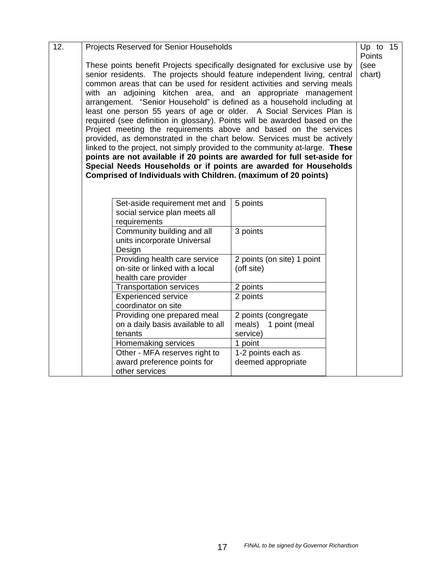| 12. | Projects Reserved for Senior Households                                                                                                                                                                                                                                                                                                                                                                                                                                                                                                                                                                                                                                                                                                                                                                                                                                                                                                                                                                                       |                                                                                         |                                                             |  |  |  |  |
|-----|-------------------------------------------------------------------------------------------------------------------------------------------------------------------------------------------------------------------------------------------------------------------------------------------------------------------------------------------------------------------------------------------------------------------------------------------------------------------------------------------------------------------------------------------------------------------------------------------------------------------------------------------------------------------------------------------------------------------------------------------------------------------------------------------------------------------------------------------------------------------------------------------------------------------------------------------------------------------------------------------------------------------------------|-----------------------------------------------------------------------------------------|-------------------------------------------------------------|--|--|--|--|
|     | Up to $15$<br>Points<br>These points benefit Projects specifically designated for exclusive use by<br>(see<br>senior residents. The projects should feature independent living, central<br>chart)<br>common areas that can be used for resident activities and serving meals<br>with an adjoining kitchen area, and an appropriate management<br>arrangement. "Senior Household" is defined as a household including at<br>least one person 55 years of age or older. A Social Services Plan is<br>required (see definition in glossary). Points will be awarded based on the<br>Project meeting the requirements above and based on the services<br>provided, as demonstrated in the chart below. Services must be actively<br>linked to the project, not simply provided to the community at-large. These<br>points are not available if 20 points are awarded for full set-aside for<br>Special Needs Households or if points are awarded for Households<br>Comprised of Individuals with Children. (maximum of 20 points) |                                                                                         |                                                             |  |  |  |  |
|     |                                                                                                                                                                                                                                                                                                                                                                                                                                                                                                                                                                                                                                                                                                                                                                                                                                                                                                                                                                                                                               | Set-aside requirement met and<br>social service plan meets all<br>requirements          | 5 points                                                    |  |  |  |  |
|     |                                                                                                                                                                                                                                                                                                                                                                                                                                                                                                                                                                                                                                                                                                                                                                                                                                                                                                                                                                                                                               | Community building and all<br>units incorporate Universal<br>Design                     | 3 points                                                    |  |  |  |  |
|     |                                                                                                                                                                                                                                                                                                                                                                                                                                                                                                                                                                                                                                                                                                                                                                                                                                                                                                                                                                                                                               | Providing health care service<br>on-site or linked with a local<br>health care provider | 2 points (on site) 1 point<br>(off site)                    |  |  |  |  |
|     |                                                                                                                                                                                                                                                                                                                                                                                                                                                                                                                                                                                                                                                                                                                                                                                                                                                                                                                                                                                                                               | <b>Transportation services</b>                                                          | 2 points                                                    |  |  |  |  |
|     |                                                                                                                                                                                                                                                                                                                                                                                                                                                                                                                                                                                                                                                                                                                                                                                                                                                                                                                                                                                                                               | Experienced service<br>coordinator on site                                              | 2 points                                                    |  |  |  |  |
|     |                                                                                                                                                                                                                                                                                                                                                                                                                                                                                                                                                                                                                                                                                                                                                                                                                                                                                                                                                                                                                               | Providing one prepared meal<br>on a daily basis available to all<br>tenants             | 2 points (congregate<br>meals)<br>1 point (meal<br>service) |  |  |  |  |
|     |                                                                                                                                                                                                                                                                                                                                                                                                                                                                                                                                                                                                                                                                                                                                                                                                                                                                                                                                                                                                                               | Homemaking services                                                                     | 1 point                                                     |  |  |  |  |
|     |                                                                                                                                                                                                                                                                                                                                                                                                                                                                                                                                                                                                                                                                                                                                                                                                                                                                                                                                                                                                                               | Other - MFA reserves right to                                                           | 1-2 points each as                                          |  |  |  |  |
|     |                                                                                                                                                                                                                                                                                                                                                                                                                                                                                                                                                                                                                                                                                                                                                                                                                                                                                                                                                                                                                               | award preference points for<br>other services                                           | deemed appropriate                                          |  |  |  |  |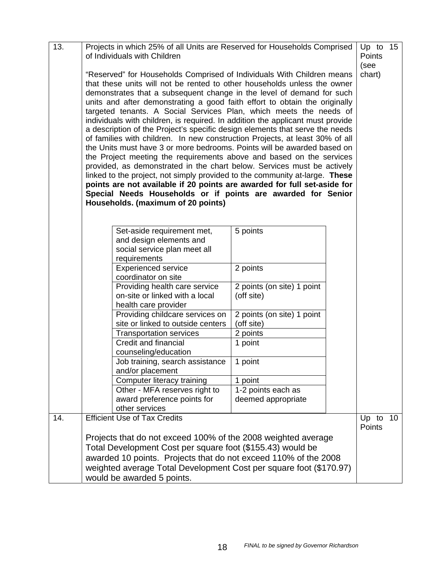| 13. | Projects in which 25% of all Units are Reserved for Households Comprised       |                                          | Up to 15        |    |  |  |  |  |
|-----|--------------------------------------------------------------------------------|------------------------------------------|-----------------|----|--|--|--|--|
|     | of Individuals with Children                                                   |                                          | Points          |    |  |  |  |  |
|     |                                                                                |                                          | (see            |    |  |  |  |  |
|     | "Reserved" for Households Comprised of Individuals With Children means         |                                          | chart)          |    |  |  |  |  |
|     | that these units will not be rented to other households unless the owner       |                                          |                 |    |  |  |  |  |
|     | demonstrates that a subsequent change in the level of demand for such          |                                          |                 |    |  |  |  |  |
|     | units and after demonstrating a good faith effort to obtain the originally     |                                          |                 |    |  |  |  |  |
|     | targeted tenants. A Social Services Plan, which meets the needs of             |                                          |                 |    |  |  |  |  |
|     | individuals with children, is required. In addition the applicant must provide |                                          |                 |    |  |  |  |  |
|     | a description of the Project's specific design elements that serve the needs   |                                          |                 |    |  |  |  |  |
|     | of families with children. In new construction Projects, at least 30% of all   |                                          |                 |    |  |  |  |  |
|     | the Units must have 3 or more bedrooms. Points will be awarded based on        |                                          |                 |    |  |  |  |  |
|     | the Project meeting the requirements above and based on the services           |                                          |                 |    |  |  |  |  |
|     | provided, as demonstrated in the chart below. Services must be actively        |                                          |                 |    |  |  |  |  |
|     | linked to the project, not simply provided to the community at-large. These    |                                          |                 |    |  |  |  |  |
|     | points are not available if 20 points are awarded for full set-aside for       |                                          |                 |    |  |  |  |  |
|     | Special Needs Households or if points are awarded for Senior                   |                                          |                 |    |  |  |  |  |
|     | Households. (maximum of 20 points)                                             |                                          |                 |    |  |  |  |  |
|     |                                                                                |                                          |                 |    |  |  |  |  |
|     |                                                                                |                                          |                 |    |  |  |  |  |
|     | Set-aside requirement met,                                                     | 5 points                                 |                 |    |  |  |  |  |
|     | and design elements and                                                        |                                          |                 |    |  |  |  |  |
|     | social service plan meet all                                                   |                                          |                 |    |  |  |  |  |
|     | requirements                                                                   |                                          |                 |    |  |  |  |  |
|     | <b>Experienced service</b>                                                     | 2 points                                 |                 |    |  |  |  |  |
|     | coordinator on site                                                            |                                          |                 |    |  |  |  |  |
|     | Providing health care service                                                  |                                          |                 |    |  |  |  |  |
|     | on-site or linked with a local                                                 | 2 points (on site) 1 point<br>(off site) |                 |    |  |  |  |  |
|     | health care provider                                                           |                                          |                 |    |  |  |  |  |
|     |                                                                                |                                          |                 |    |  |  |  |  |
|     | Providing childcare services on<br>site or linked to outside centers           | 2 points (on site) 1 point               |                 |    |  |  |  |  |
|     |                                                                                | (off site)<br>2 points                   |                 |    |  |  |  |  |
|     | <b>Transportation services</b><br>Credit and financial                         |                                          |                 |    |  |  |  |  |
|     |                                                                                | 1 point                                  |                 |    |  |  |  |  |
|     | counseling/education                                                           |                                          |                 |    |  |  |  |  |
|     | Job training, search assistance<br>and/or placement                            | 1 point                                  |                 |    |  |  |  |  |
|     |                                                                                |                                          |                 |    |  |  |  |  |
|     | Computer literacy training                                                     | 1 point                                  |                 |    |  |  |  |  |
|     | Other - MFA reserves right to                                                  | 1-2 points each as                       |                 |    |  |  |  |  |
|     | award preference points for<br>other services                                  | deemed appropriate                       |                 |    |  |  |  |  |
|     |                                                                                |                                          |                 |    |  |  |  |  |
| 14. | <b>Efficient Use of Tax Credits</b>                                            |                                          | Up to<br>Points | 10 |  |  |  |  |
|     |                                                                                |                                          |                 |    |  |  |  |  |
|     | Projects that do not exceed 100% of the 2008 weighted average                  |                                          |                 |    |  |  |  |  |
|     | Total Development Cost per square foot (\$155.43) would be                     |                                          |                 |    |  |  |  |  |
|     | awarded 10 points. Projects that do not exceed 110% of the 2008                |                                          |                 |    |  |  |  |  |
|     | weighted average Total Development Cost per square foot (\$170.97)             |                                          |                 |    |  |  |  |  |
|     | would be awarded 5 points.                                                     |                                          |                 |    |  |  |  |  |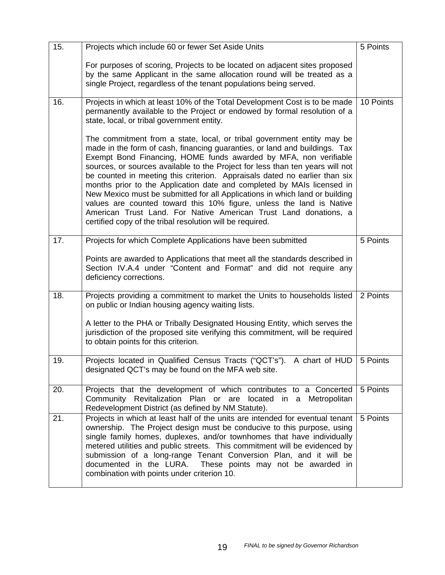| 15. | Projects which include 60 or fewer Set Aside Units                                                                                                                                                                                                                                                                                                                                                                                                                                                                                                                                                                                                                                                                                                        | 5 Points  |
|-----|-----------------------------------------------------------------------------------------------------------------------------------------------------------------------------------------------------------------------------------------------------------------------------------------------------------------------------------------------------------------------------------------------------------------------------------------------------------------------------------------------------------------------------------------------------------------------------------------------------------------------------------------------------------------------------------------------------------------------------------------------------------|-----------|
|     | For purposes of scoring, Projects to be located on adjacent sites proposed<br>by the same Applicant in the same allocation round will be treated as a<br>single Project, regardless of the tenant populations being served.                                                                                                                                                                                                                                                                                                                                                                                                                                                                                                                               |           |
| 16. | Projects in which at least 10% of the Total Development Cost is to be made<br>permanently available to the Project or endowed by formal resolution of a<br>state, local, or tribal government entity.                                                                                                                                                                                                                                                                                                                                                                                                                                                                                                                                                     | 10 Points |
|     | The commitment from a state, local, or tribal government entity may be<br>made in the form of cash, financing guaranties, or land and buildings. Tax<br>Exempt Bond Financing, HOME funds awarded by MFA, non verifiable<br>sources, or sources available to the Project for less than ten years will not<br>be counted in meeting this criterion. Appraisals dated no earlier than six<br>months prior to the Application date and completed by MAIs licensed in<br>New Mexico must be submitted for all Applications in which land or building<br>values are counted toward this 10% figure, unless the land is Native<br>American Trust Land. For Native American Trust Land donations, a<br>certified copy of the tribal resolution will be required. |           |
| 17. | Projects for which Complete Applications have been submitted                                                                                                                                                                                                                                                                                                                                                                                                                                                                                                                                                                                                                                                                                              | 5 Points  |
|     | Points are awarded to Applications that meet all the standards described in<br>Section IV.A.4 under "Content and Format" and did not require any<br>deficiency corrections.                                                                                                                                                                                                                                                                                                                                                                                                                                                                                                                                                                               |           |
| 18. | Projects providing a commitment to market the Units to households listed<br>on public or Indian housing agency waiting lists.                                                                                                                                                                                                                                                                                                                                                                                                                                                                                                                                                                                                                             | 2 Points  |
|     | A letter to the PHA or Tribally Designated Housing Entity, which serves the<br>jurisdiction of the proposed site verifying this commitment, will be required<br>to obtain points for this criterion.                                                                                                                                                                                                                                                                                                                                                                                                                                                                                                                                                      |           |
| 19. | Projects located in Qualified Census Tracts ("QCT's"). A chart of HUD<br>designated QCT's may be found on the MFA web site.                                                                                                                                                                                                                                                                                                                                                                                                                                                                                                                                                                                                                               | 5 Points  |
| 20. | Projects that the development of which contributes to a Concerted<br>Community Revitalization Plan or are located in a Metropolitan<br>Redevelopment District (as defined by NM Statute).                                                                                                                                                                                                                                                                                                                                                                                                                                                                                                                                                                 | 5 Points  |
| 21. | Projects in which at least half of the units are intended for eventual tenant<br>ownership. The Project design must be conducive to this purpose, using<br>single family homes, duplexes, and/or townhomes that have individually<br>metered utilities and public streets. This commitment will be evidenced by<br>submission of a long-range Tenant Conversion Plan, and it will be<br>documented in the LURA.<br>These points may not be awarded in<br>combination with points under criterion 10.                                                                                                                                                                                                                                                      | 5 Points  |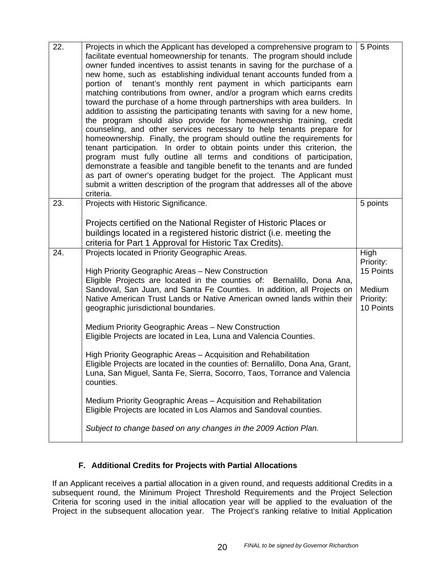| 22. | Projects in which the Applicant has developed a comprehensive program to<br>facilitate eventual homeownership for tenants. The program should include<br>owner funded incentives to assist tenants in saving for the purchase of a<br>new home, such as establishing individual tenant accounts funded from a<br>portion of tenant's monthly rent payment in which participants earn<br>matching contributions from owner, and/or a program which earns credits<br>toward the purchase of a home through partnerships with area builders. In<br>addition to assisting the participating tenants with saving for a new home,<br>the program should also provide for homeownership training, credit<br>counseling, and other services necessary to help tenants prepare for<br>homeownership. Finally, the program should outline the requirements for<br>tenant participation. In order to obtain points under this criterion, the<br>program must fully outline all terms and conditions of participation,<br>demonstrate a feasible and tangible benefit to the tenants and are funded<br>as part of owner's operating budget for the project. The Applicant must<br>submit a written description of the program that addresses all of the above<br>criteria. | 5 Points                                                           |
|-----|----------------------------------------------------------------------------------------------------------------------------------------------------------------------------------------------------------------------------------------------------------------------------------------------------------------------------------------------------------------------------------------------------------------------------------------------------------------------------------------------------------------------------------------------------------------------------------------------------------------------------------------------------------------------------------------------------------------------------------------------------------------------------------------------------------------------------------------------------------------------------------------------------------------------------------------------------------------------------------------------------------------------------------------------------------------------------------------------------------------------------------------------------------------------------------------------------------------------------------------------------------------|--------------------------------------------------------------------|
| 23. | Projects with Historic Significance.                                                                                                                                                                                                                                                                                                                                                                                                                                                                                                                                                                                                                                                                                                                                                                                                                                                                                                                                                                                                                                                                                                                                                                                                                           | 5 points                                                           |
|     | Projects certified on the National Register of Historic Places or<br>buildings located in a registered historic district (i.e. meeting the<br>criteria for Part 1 Approval for Historic Tax Credits).                                                                                                                                                                                                                                                                                                                                                                                                                                                                                                                                                                                                                                                                                                                                                                                                                                                                                                                                                                                                                                                          |                                                                    |
| 24. | Projects located in Priority Geographic Areas.<br>High Priority Geographic Areas - New Construction<br>Eligible Projects are located in the counties of: Bernalillo, Dona Ana,<br>Sandoval, San Juan, and Santa Fe Counties. In addition, all Projects on<br>Native American Trust Lands or Native American owned lands within their<br>geographic jurisdictional boundaries.<br>Medium Priority Geographic Areas - New Construction<br>Eligible Projects are located in Lea, Luna and Valencia Counties.<br>High Priority Geographic Areas - Acquisition and Rehabilitation<br>Eligible Projects are located in the counties of: Bernalillo, Dona Ana, Grant,<br>Luna, San Miguel, Santa Fe, Sierra, Socorro, Taos, Torrance and Valencia<br>counties.<br>Medium Priority Geographic Areas - Acquisition and Rehabilitation<br>Eligible Projects are located in Los Alamos and Sandoval counties.<br>Subject to change based on any changes in the 2009 Action Plan.                                                                                                                                                                                                                                                                                          | High<br>Priority:<br>15 Points<br>Medium<br>Priority:<br>10 Points |

# **F. Additional Credits for Projects with Partial Allocations**

If an Applicant receives a partial allocation in a given round, and requests additional Credits in a subsequent round, the Minimum Project Threshold Requirements and the Project Selection Criteria for scoring used in the initial allocation year will be applied to the evaluation of the Project in the subsequent allocation year. The Project's ranking relative to Initial Application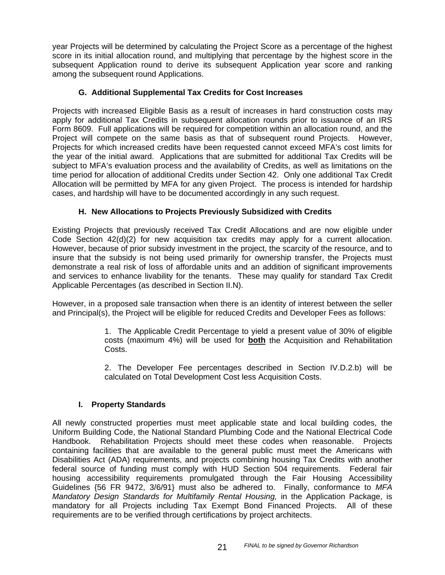year Projects will be determined by calculating the Project Score as a percentage of the highest score in its initial allocation round, and multiplying that percentage by the highest score in the subsequent Application round to derive its subsequent Application year score and ranking among the subsequent round Applications.

# **G. Additional Supplemental Tax Credits for Cost Increases**

Projects with increased Eligible Basis as a result of increases in hard construction costs may apply for additional Tax Credits in subsequent allocation rounds prior to issuance of an IRS Form 8609. Full applications will be required for competition within an allocation round, and the Project will compete on the same basis as that of subsequent round Projects. However, Projects for which increased credits have been requested cannot exceed MFA's cost limits for the year of the initial award. Applications that are submitted for additional Tax Credits will be subject to MFA's evaluation process and the availability of Credits, as well as limitations on the time period for allocation of additional Credits under Section 42. Only one additional Tax Credit Allocation will be permitted by MFA for any given Project. The process is intended for hardship cases, and hardship will have to be documented accordingly in any such request.

# **H. New Allocations to Projects Previously Subsidized with Credits**

Existing Projects that previously received Tax Credit Allocations and are now eligible under Code Section 42(d)(2) for new acquisition tax credits may apply for a current allocation. However, because of prior subsidy investment in the project, the scarcity of the resource, and to insure that the subsidy is not being used primarily for ownership transfer, the Projects must demonstrate a real risk of loss of affordable units and an addition of significant improvements and services to enhance livability for the tenants. These may qualify for standard Tax Credit Applicable Percentages (as described in Section II.N).

However, in a proposed sale transaction when there is an identity of interest between the seller and Principal(s), the Project will be eligible for reduced Credits and Developer Fees as follows:

> 1. The Applicable Credit Percentage to yield a present value of 30% of eligible costs (maximum 4%) will be used for **both** the Acquisition and Rehabilitation Costs.

> 2. The Developer Fee percentages described in Section IV.D.2.b) will be calculated on Total Development Cost less Acquisition Costs.

## **I. Property Standards**

All newly constructed properties must meet applicable state and local building codes, the Uniform Building Code, the National Standard Plumbing Code and the National Electrical Code Handbook. Rehabilitation Projects should meet these codes when reasonable. Projects containing facilities that are available to the general public must meet the Americans with Disabilities Act (ADA) requirements, and projects combining housing Tax Credits with another federal source of funding must comply with HUD Section 504 requirements. Federal fair housing accessibility requirements promulgated through the Fair Housing Accessibility Guidelines {56 FR 9472, 3/6/91} must also be adhered to. Finally, conformance to *MFA Mandatory Design Standards for Multifamily Rental Housing, in the Application Package, is* mandatory for all Projects including Tax Exempt Bond Financed Projects. All of these requirements are to be verified through certifications by project architects.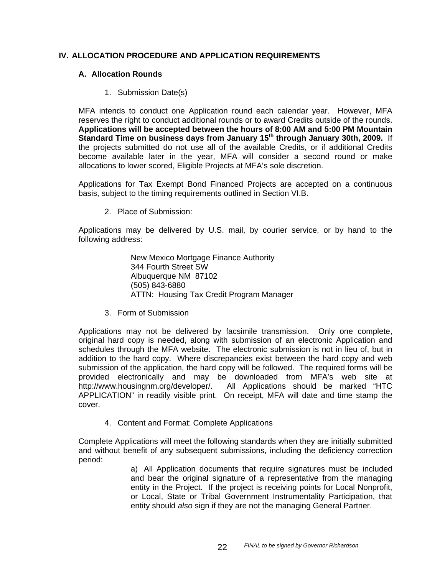## **IV. ALLOCATION PROCEDURE AND APPLICATION REQUIREMENTS**

## **A. Allocation Rounds**

1. Submission Date(s)

MFA intends to conduct one Application round each calendar year. However, MFA reserves the right to conduct additional rounds or to award Credits outside of the rounds. **Applications will be accepted between the hours of 8:00 AM and 5:00 PM Mountain Standard Time on business days from January 15th through January 30th, 2009.** If the projects submitted do not use all of the available Credits, or if additional Credits become available later in the year, MFA will consider a second round or make allocations to lower scored, Eligible Projects at MFA's sole discretion.

Applications for Tax Exempt Bond Financed Projects are accepted on a continuous basis, subject to the timing requirements outlined in Section VI.B.

2. Place of Submission:

Applications may be delivered by U.S. mail, by courier service, or by hand to the following address:

> New Mexico Mortgage Finance Authority 344 Fourth Street SW Albuquerque NM 87102 (505) 843-6880 ATTN: Housing Tax Credit Program Manager

3. Form of Submission

Applications may not be delivered by facsimile transmission. Only one complete, original hard copy is needed, along with submission of an electronic Application and schedules through the MFA website. The electronic submission is not in lieu of, but in addition to the hard copy. Where discrepancies exist between the hard copy and web submission of the application, the hard copy will be followed. The required forms will be provided electronically and may be downloaded from MFA's web site at http://www.housingnm.org/developer/. All Applications should be marked "HTC APPLICATION" in readily visible print. On receipt, MFA will date and time stamp the cover.

4. Content and Format: Complete Applications

Complete Applications will meet the following standards when they are initially submitted and without benefit of any subsequent submissions, including the deficiency correction period:

a) All Application documents that require signatures must be included and bear the original signature of a representative from the managing entity in the Project. If the project is receiving points for Local Nonprofit, or Local, State or Tribal Government Instrumentality Participation, that entity should *also* sign if they are not the managing General Partner.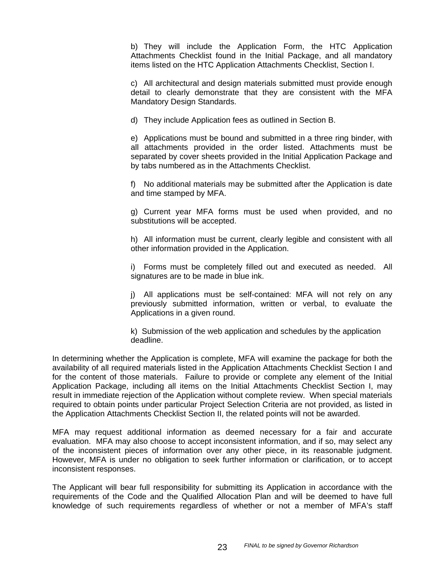b) They will include the Application Form, the HTC Application Attachments Checklist found in the Initial Package, and all mandatory items listed on the HTC Application Attachments Checklist, Section I.

c) All architectural and design materials submitted must provide enough detail to clearly demonstrate that they are consistent with the MFA Mandatory Design Standards.

d) They include Application fees as outlined in Section B.

e) Applications must be bound and submitted in a three ring binder, with all attachments provided in the order listed. Attachments must be separated by cover sheets provided in the Initial Application Package and by tabs numbered as in the Attachments Checklist.

f) No additional materials may be submitted after the Application is date and time stamped by MFA.

g) Current year MFA forms must be used when provided, and no substitutions will be accepted.

h) All information must be current, clearly legible and consistent with all other information provided in the Application.

i) Forms must be completely filled out and executed as needed. All signatures are to be made in blue ink.

j) All applications must be self-contained: MFA will not rely on any previously submitted information, written or verbal, to evaluate the Applications in a given round.

k) Submission of the web application and schedules by the application deadline.

In determining whether the Application is complete, MFA will examine the package for both the availability of all required materials listed in the Application Attachments Checklist Section I and for the content of those materials. Failure to provide or complete any element of the Initial Application Package, including all items on the Initial Attachments Checklist Section I, may result in immediate rejection of the Application without complete review. When special materials required to obtain points under particular Project Selection Criteria are not provided, as listed in the Application Attachments Checklist Section II, the related points will not be awarded.

MFA may request additional information as deemed necessary for a fair and accurate evaluation. MFA may also choose to accept inconsistent information, and if so, may select any of the inconsistent pieces of information over any other piece, in its reasonable judgment. However, MFA is under no obligation to seek further information or clarification, or to accept inconsistent responses.

The Applicant will bear full responsibility for submitting its Application in accordance with the requirements of the Code and the Qualified Allocation Plan and will be deemed to have full knowledge of such requirements regardless of whether or not a member of MFA's staff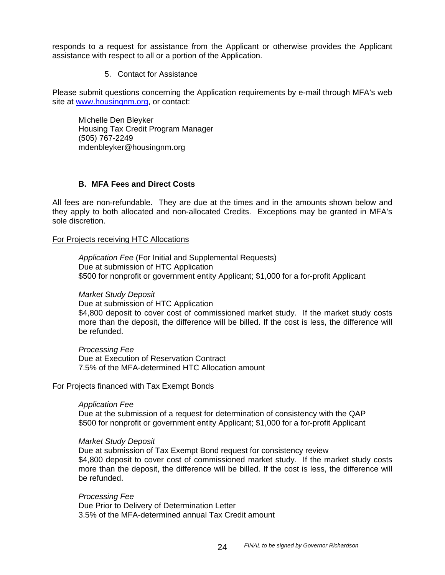responds to a request for assistance from the Applicant or otherwise provides the Applicant assistance with respect to all or a portion of the Application.

5. Contact for Assistance

Please submit questions concerning the Application requirements by e-mail through MFA's web site at www.housingnm.org, or contact:

Michelle Den Bleyker Housing Tax Credit Program Manager (505) 767-2249 mdenbleyker@housingnm.org

## **B. MFA Fees and Direct Costs**

All fees are non-refundable. They are due at the times and in the amounts shown below and they apply to both allocated and non-allocated Credits. Exceptions may be granted in MFA's sole discretion.

#### For Projects receiving HTC Allocations

*Application Fee* (For Initial and Supplemental Requests) Due at submission of HTC Application \$500 for nonprofit or government entity Applicant; \$1,000 for a for-profit Applicant

#### *Market Study Deposit*

Due at submission of HTC Application

\$4,800 deposit to cover cost of commissioned market study. If the market study costs more than the deposit, the difference will be billed. If the cost is less, the difference will be refunded.

*Processing Fee* Due at Execution of Reservation Contract 7.5% of the MFA-determined HTC Allocation amount

## For Projects financed with Tax Exempt Bonds

#### *Application Fee*

Due at the submission of a request for determination of consistency with the QAP \$500 for nonprofit or government entity Applicant; \$1,000 for a for-profit Applicant

#### *Market Study Deposit*

Due at submission of Tax Exempt Bond request for consistency review \$4,800 deposit to cover cost of commissioned market study. If the market study costs more than the deposit, the difference will be billed. If the cost is less, the difference will be refunded.

*Processing Fee* Due Prior to Delivery of Determination Letter 3.5% of the MFA-determined annual Tax Credit amount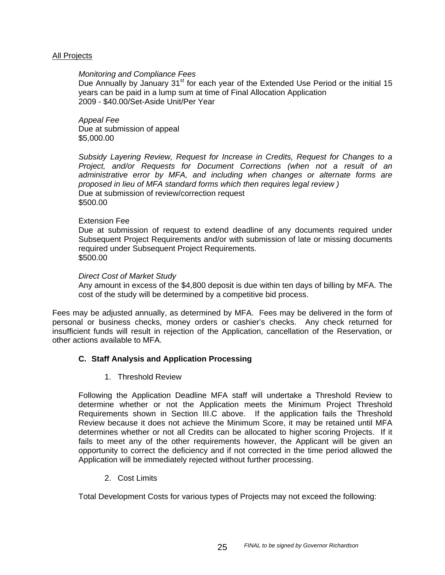#### All Projects

#### *Monitoring and Compliance Fees*

Due Annually by January 31<sup>st</sup> for each year of the Extended Use Period or the initial 15 years can be paid in a lump sum at time of Final Allocation Application 2009 - \$40.00/Set-Aside Unit/Per Year

*Appeal Fee*  Due at submission of appeal \$5,000.00

*Subsidy Layering Review, Request for Increase in Credits, Request for Changes to a Project, and/or Requests for Document Corrections (when not a result of an administrative error by MFA, and including when changes or alternate forms are proposed in lieu of MFA standard forms which then requires legal review )*  Due at submission of review/correction request \$500.00

#### Extension Fee

Due at submission of request to extend deadline of any documents required under Subsequent Project Requirements and/or with submission of late or missing documents required under Subsequent Project Requirements. \$500.00

#### *Direct Cost of Market Study*

Any amount in excess of the \$4,800 deposit is due within ten days of billing by MFA. The cost of the study will be determined by a competitive bid process.

Fees may be adjusted annually, as determined by MFA. Fees may be delivered in the form of personal or business checks, money orders or cashier's checks. Any check returned for insufficient funds will result in rejection of the Application, cancellation of the Reservation, or other actions available to MFA.

#### **C. Staff Analysis and Application Processing**

1. Threshold Review

Following the Application Deadline MFA staff will undertake a Threshold Review to determine whether or not the Application meets the Minimum Project Threshold Requirements shown in Section III.C above. If the application fails the Threshold Review because it does not achieve the Minimum Score, it may be retained until MFA determines whether or not all Credits can be allocated to higher scoring Projects. If it fails to meet any of the other requirements however, the Applicant will be given an opportunity to correct the deficiency and if not corrected in the time period allowed the Application will be immediately rejected without further processing.

2. Cost Limits

Total Development Costs for various types of Projects may not exceed the following: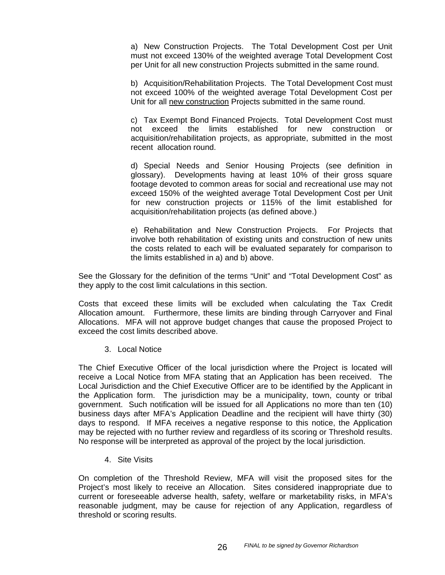a) New Construction Projects. The Total Development Cost per Unit must not exceed 130% of the weighted average Total Development Cost per Unit for all new construction Projects submitted in the same round.

b) Acquisition/Rehabilitation Projects. The Total Development Cost must not exceed 100% of the weighted average Total Development Cost per Unit for all new construction Projects submitted in the same round.

c) Tax Exempt Bond Financed Projects. Total Development Cost must not exceed the limits established for new construction or acquisition/rehabilitation projects, as appropriate, submitted in the most recent allocation round.

d) Special Needs and Senior Housing Projects (see definition in glossary). Developments having at least 10% of their gross square footage devoted to common areas for social and recreational use may not exceed 150% of the weighted average Total Development Cost per Unit for new construction projects or 115% of the limit established for acquisition/rehabilitation projects (as defined above.)

e) Rehabilitation and New Construction Projects. For Projects that involve both rehabilitation of existing units and construction of new units the costs related to each will be evaluated separately for comparison to the limits established in a) and b) above.

See the Glossary for the definition of the terms "Unit" and "Total Development Cost" as they apply to the cost limit calculations in this section.

Costs that exceed these limits will be excluded when calculating the Tax Credit Allocation amount. Furthermore, these limits are binding through Carryover and Final Allocations. MFA will not approve budget changes that cause the proposed Project to exceed the cost limits described above.

3. Local Notice

The Chief Executive Officer of the local jurisdiction where the Project is located will receive a Local Notice from MFA stating that an Application has been received. The Local Jurisdiction and the Chief Executive Officer are to be identified by the Applicant in the Application form. The jurisdiction may be a municipality, town, county or tribal government. Such notification will be issued for all Applications no more than ten (10) business days after MFA's Application Deadline and the recipient will have thirty (30) days to respond. If MFA receives a negative response to this notice, the Application may be rejected with no further review and regardless of its scoring or Threshold results. No response will be interpreted as approval of the project by the local jurisdiction.

4. Site Visits

On completion of the Threshold Review, MFA will visit the proposed sites for the Project's most likely to receive an Allocation. Sites considered inappropriate due to current or foreseeable adverse health, safety, welfare or marketability risks, in MFA's reasonable judgment, may be cause for rejection of any Application, regardless of threshold or scoring results.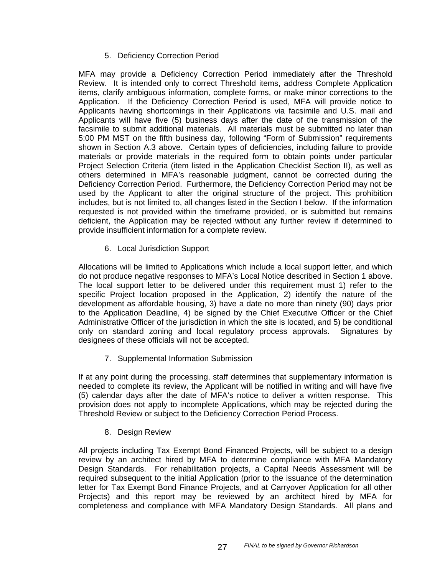# 5. Deficiency Correction Period

MFA may provide a Deficiency Correction Period immediately after the Threshold Review. It is intended only to correct Threshold items, address Complete Application items, clarify ambiguous information, complete forms, or make minor corrections to the Application. If the Deficiency Correction Period is used, MFA will provide notice to Applicants having shortcomings in their Applications via facsimile and U.S. mail and Applicants will have five (5) business days after the date of the transmission of the facsimile to submit additional materials. All materials must be submitted no later than 5:00 PM MST on the fifth business day, following "Form of Submission" requirements shown in Section A.3 above. Certain types of deficiencies, including failure to provide materials or provide materials in the required form to obtain points under particular Project Selection Criteria (item listed in the Application Checklist Section II), as well as others determined in MFA's reasonable judgment, cannot be corrected during the Deficiency Correction Period. Furthermore, the Deficiency Correction Period may not be used by the Applicant to alter the original structure of the project. This prohibition includes, but is not limited to, all changes listed in the Section I below. If the information requested is not provided within the timeframe provided, or is submitted but remains deficient, the Application may be rejected without any further review if determined to provide insufficient information for a complete review.

6. Local Jurisdiction Support

Allocations will be limited to Applications which include a local support letter, and which do not produce negative responses to MFA's Local Notice described in Section 1 above. The local support letter to be delivered under this requirement must 1) refer to the specific Project location proposed in the Application, 2) identify the nature of the development as affordable housing, 3) have a date no more than ninety (90) days prior to the Application Deadline, 4) be signed by the Chief Executive Officer or the Chief Administrative Officer of the jurisdiction in which the site is located, and 5) be conditional only on standard zoning and local regulatory process approvals. Signatures by designees of these officials will not be accepted.

7. Supplemental Information Submission

If at any point during the processing, staff determines that supplementary information is needed to complete its review, the Applicant will be notified in writing and will have five (5) calendar days after the date of MFA's notice to deliver a written response. This provision does not apply to incomplete Applications, which may be rejected during the Threshold Review or subject to the Deficiency Correction Period Process.

## 8. Design Review

All projects including Tax Exempt Bond Financed Projects, will be subject to a design review by an architect hired by MFA to determine compliance with MFA Mandatory Design Standards. For rehabilitation projects, a Capital Needs Assessment will be required subsequent to the initial Application (prior to the issuance of the determination letter for Tax Exempt Bond Finance Projects, and at Carryover Application for all other Projects) and this report may be reviewed by an architect hired by MFA for completeness and compliance with MFA Mandatory Design Standards. All plans and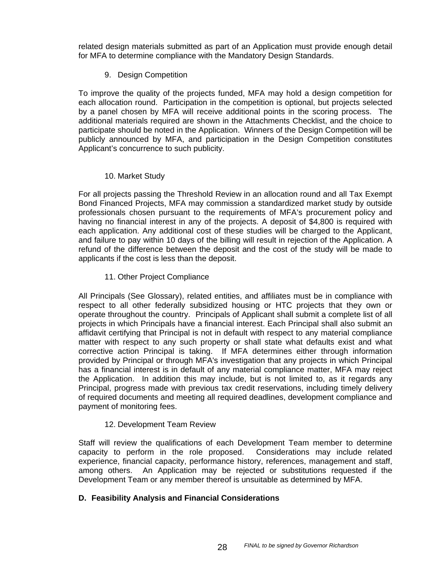related design materials submitted as part of an Application must provide enough detail for MFA to determine compliance with the Mandatory Design Standards.

# 9. Design Competition

To improve the quality of the projects funded, MFA may hold a design competition for each allocation round. Participation in the competition is optional, but projects selected by a panel chosen by MFA will receive additional points in the scoring process. The additional materials required are shown in the Attachments Checklist, and the choice to participate should be noted in the Application. Winners of the Design Competition will be publicly announced by MFA, and participation in the Design Competition constitutes Applicant's concurrence to such publicity.

# 10. Market Study

For all projects passing the Threshold Review in an allocation round and all Tax Exempt Bond Financed Projects, MFA may commission a standardized market study by outside professionals chosen pursuant to the requirements of MFA's procurement policy and having no financial interest in any of the projects. A deposit of \$4,800 is required with each application. Any additional cost of these studies will be charged to the Applicant, and failure to pay within 10 days of the billing will result in rejection of the Application. A refund of the difference between the deposit and the cost of the study will be made to applicants if the cost is less than the deposit.

# 11. Other Project Compliance

All Principals (See Glossary), related entities, and affiliates must be in compliance with respect to all other federally subsidized housing or HTC projects that they own or operate throughout the country. Principals of Applicant shall submit a complete list of all projects in which Principals have a financial interest. Each Principal shall also submit an affidavit certifying that Principal is not in default with respect to any material compliance matter with respect to any such property or shall state what defaults exist and what corrective action Principal is taking. If MFA determines either through information provided by Principal or through MFA's investigation that any projects in which Principal has a financial interest is in default of any material compliance matter, MFA may reject the Application. In addition this may include, but is not limited to, as it regards any Principal, progress made with previous tax credit reservations, including timely delivery of required documents and meeting all required deadlines, development compliance and payment of monitoring fees.

# 12. Development Team Review

Staff will review the qualifications of each Development Team member to determine capacity to perform in the role proposed. Considerations may include related experience, financial capacity, performance history, references, management and staff, among others. An Application may be rejected or substitutions requested if the Development Team or any member thereof is unsuitable as determined by MFA.

## **D. Feasibility Analysis and Financial Considerations**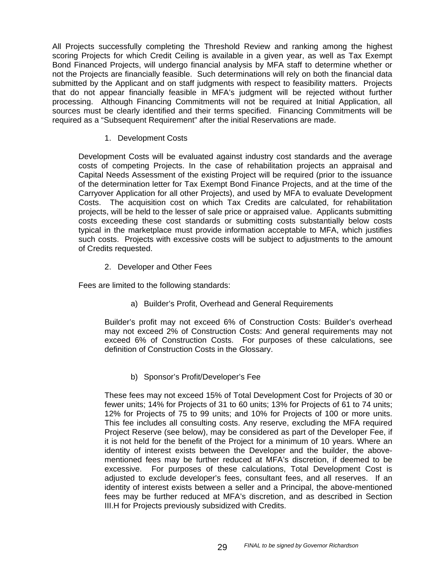All Projects successfully completing the Threshold Review and ranking among the highest scoring Projects for which Credit Ceiling is available in a given year, as well as Tax Exempt Bond Financed Projects, will undergo financial analysis by MFA staff to determine whether or not the Projects are financially feasible. Such determinations will rely on both the financial data submitted by the Applicant and on staff judgments with respect to feasibility matters. Projects that do not appear financially feasible in MFA's judgment will be rejected without further processing. Although Financing Commitments will not be required at Initial Application, all sources must be clearly identified and their terms specified. Financing Commitments will be required as a "Subsequent Requirement" after the initial Reservations are made.

1. Development Costs

Development Costs will be evaluated against industry cost standards and the average costs of competing Projects. In the case of rehabilitation projects an appraisal and Capital Needs Assessment of the existing Project will be required (prior to the issuance of the determination letter for Tax Exempt Bond Finance Projects, and at the time of the Carryover Application for all other Projects), and used by MFA to evaluate Development Costs. The acquisition cost on which Tax Credits are calculated, for rehabilitation projects, will be held to the lesser of sale price or appraised value. Applicants submitting costs exceeding these cost standards or submitting costs substantially below costs typical in the marketplace must provide information acceptable to MFA, which justifies such costs. Projects with excessive costs will be subject to adjustments to the amount of Credits requested.

2. Developer and Other Fees

Fees are limited to the following standards:

a) Builder's Profit, Overhead and General Requirements

Builder's profit may not exceed 6% of Construction Costs: Builder's overhead may not exceed 2% of Construction Costs: And general requirements may not exceed 6% of Construction Costs. For purposes of these calculations, see definition of Construction Costs in the Glossary.

b) Sponsor's Profit/Developer's Fee

These fees may not exceed 15% of Total Development Cost for Projects of 30 or fewer units; 14% for Projects of 31 to 60 units; 13% for Projects of 61 to 74 units; 12% for Projects of 75 to 99 units; and 10% for Projects of 100 or more units. This fee includes all consulting costs. Any reserve, excluding the MFA required Project Reserve (see below), may be considered as part of the Developer Fee, if it is not held for the benefit of the Project for a minimum of 10 years. Where an identity of interest exists between the Developer and the builder, the abovementioned fees may be further reduced at MFA's discretion, if deemed to be excessive. For purposes of these calculations, Total Development Cost is adjusted to exclude developer's fees, consultant fees, and all reserves. If an identity of interest exists between a seller and a Principal, the above-mentioned fees may be further reduced at MFA's discretion, and as described in Section III.H for Projects previously subsidized with Credits.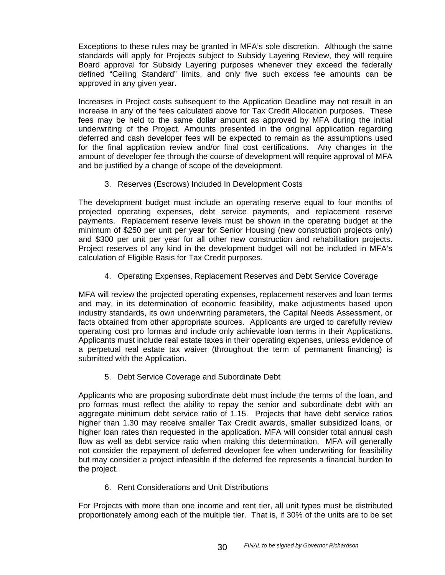Exceptions to these rules may be granted in MFA's sole discretion. Although the same standards will apply for Projects subject to Subsidy Layering Review, they will require Board approval for Subsidy Layering purposes whenever they exceed the federally defined "Ceiling Standard" limits, and only five such excess fee amounts can be approved in any given year.

Increases in Project costs subsequent to the Application Deadline may not result in an increase in any of the fees calculated above for Tax Credit Allocation purposes. These fees may be held to the same dollar amount as approved by MFA during the initial underwriting of the Project. Amounts presented in the original application regarding deferred and cash developer fees will be expected to remain as the assumptions used for the final application review and/or final cost certifications. Any changes in the amount of developer fee through the course of development will require approval of MFA and be justified by a change of scope of the development.

3. Reserves (Escrows) Included In Development Costs

The development budget must include an operating reserve equal to four months of projected operating expenses, debt service payments, and replacement reserve payments. Replacement reserve levels must be shown in the operating budget at the minimum of \$250 per unit per year for Senior Housing (new construction projects only) and \$300 per unit per year for all other new construction and rehabilitation projects. Project reserves of any kind in the development budget will not be included in MFA's calculation of Eligible Basis for Tax Credit purposes.

4. Operating Expenses, Replacement Reserves and Debt Service Coverage

MFA will review the projected operating expenses, replacement reserves and loan terms and may, in its determination of economic feasibility, make adjustments based upon industry standards, its own underwriting parameters, the Capital Needs Assessment, or facts obtained from other appropriate sources. Applicants are urged to carefully review operating cost pro formas and include only achievable loan terms in their Applications. Applicants must include real estate taxes in their operating expenses, unless evidence of a perpetual real estate tax waiver (throughout the term of permanent financing) is submitted with the Application.

5. Debt Service Coverage and Subordinate Debt

Applicants who are proposing subordinate debt must include the terms of the loan, and pro formas must reflect the ability to repay the senior and subordinate debt with an aggregate minimum debt service ratio of 1.15. Projects that have debt service ratios higher than 1.30 may receive smaller Tax Credit awards, smaller subsidized loans, or higher loan rates than requested in the application. MFA will consider total annual cash flow as well as debt service ratio when making this determination. MFA will generally not consider the repayment of deferred developer fee when underwriting for feasibility but may consider a project infeasible if the deferred fee represents a financial burden to the project.

6. Rent Considerations and Unit Distributions

For Projects with more than one income and rent tier, all unit types must be distributed proportionately among each of the multiple tier. That is, if 30% of the units are to be set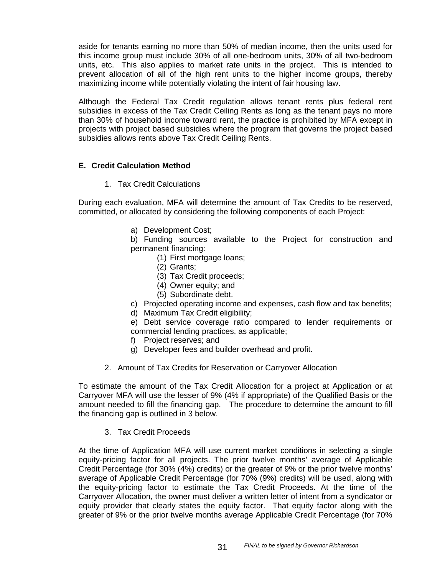aside for tenants earning no more than 50% of median income, then the units used for this income group must include 30% of all one-bedroom units, 30% of all two-bedroom units, etc. This also applies to market rate units in the project. This is intended to prevent allocation of all of the high rent units to the higher income groups, thereby maximizing income while potentially violating the intent of fair housing law.

Although the Federal Tax Credit regulation allows tenant rents plus federal rent subsidies in excess of the Tax Credit Ceiling Rents as long as the tenant pays no more than 30% of household income toward rent, the practice is prohibited by MFA except in projects with project based subsidies where the program that governs the project based subsidies allows rents above Tax Credit Ceiling Rents.

# **E. Credit Calculation Method**

1. Tax Credit Calculations

During each evaluation, MFA will determine the amount of Tax Credits to be reserved, committed, or allocated by considering the following components of each Project:

a) Development Cost;

b) Funding sources available to the Project for construction and permanent financing:

- (1) First mortgage loans;
- (2) Grants;
- (3) Tax Credit proceeds;
- (4) Owner equity; and
- (5) Subordinate debt.
- c) Projected operating income and expenses, cash flow and tax benefits;
- d) Maximum Tax Credit eligibility;

e) Debt service coverage ratio compared to lender requirements or commercial lending practices, as applicable;

- f) Project reserves; and
- g) Developer fees and builder overhead and profit.
- 2. Amount of Tax Credits for Reservation or Carryover Allocation

To estimate the amount of the Tax Credit Allocation for a project at Application or at Carryover MFA will use the lesser of 9% (4% if appropriate) of the Qualified Basis or the amount needed to fill the financing gap. The procedure to determine the amount to fill the financing gap is outlined in 3 below.

3. Tax Credit Proceeds

At the time of Application MFA will use current market conditions in selecting a single equity-pricing factor for all projects. The prior twelve months' average of Applicable Credit Percentage (for 30% (4%) credits) or the greater of 9% or the prior twelve months' average of Applicable Credit Percentage (for 70% (9%) credits) will be used, along with the equity-pricing factor to estimate the Tax Credit Proceeds. At the time of the Carryover Allocation, the owner must deliver a written letter of intent from a syndicator or equity provider that clearly states the equity factor. That equity factor along with the greater of 9% or the prior twelve months average Applicable Credit Percentage (for 70%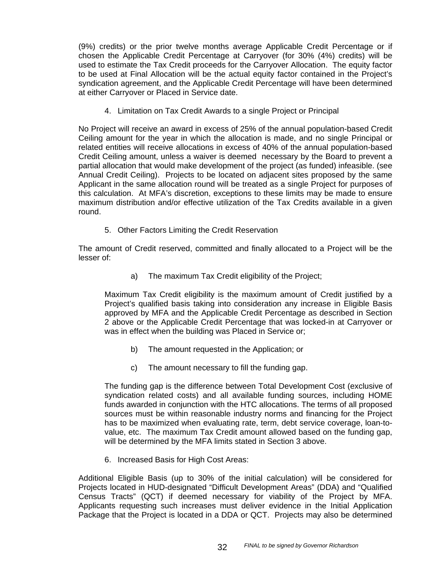(9%) credits) or the prior twelve months average Applicable Credit Percentage or if chosen the Applicable Credit Percentage at Carryover (for 30% (4%) credits) will be used to estimate the Tax Credit proceeds for the Carryover Allocation. The equity factor to be used at Final Allocation will be the actual equity factor contained in the Project's syndication agreement, and the Applicable Credit Percentage will have been determined at either Carryover or Placed in Service date.

4. Limitation on Tax Credit Awards to a single Project or Principal

No Project will receive an award in excess of 25% of the annual population-based Credit Ceiling amount for the year in which the allocation is made, and no single Principal or related entities will receive allocations in excess of 40% of the annual population-based Credit Ceiling amount, unless a waiver is deemed necessary by the Board to prevent a partial allocation that would make development of the project (as funded) infeasible. (see Annual Credit Ceiling). Projects to be located on adjacent sites proposed by the same Applicant in the same allocation round will be treated as a single Project for purposes of this calculation. At MFA's discretion, exceptions to these limits may be made to ensure maximum distribution and/or effective utilization of the Tax Credits available in a given round.

5. Other Factors Limiting the Credit Reservation

The amount of Credit reserved, committed and finally allocated to a Project will be the lesser of:

a) The maximum Tax Credit eligibility of the Project;

Maximum Tax Credit eligibility is the maximum amount of Credit justified by a Project's qualified basis taking into consideration any increase in Eligible Basis approved by MFA and the Applicable Credit Percentage as described in Section 2 above or the Applicable Credit Percentage that was locked-in at Carryover or was in effect when the building was Placed in Service or;

- b) The amount requested in the Application; or
- c) The amount necessary to fill the funding gap.

The funding gap is the difference between Total Development Cost (exclusive of syndication related costs) and all available funding sources, including HOME funds awarded in conjunction with the HTC allocations. The terms of all proposed sources must be within reasonable industry norms and financing for the Project has to be maximized when evaluating rate, term, debt service coverage, loan-tovalue, etc. The maximum Tax Credit amount allowed based on the funding gap, will be determined by the MFA limits stated in Section 3 above.

6. Increased Basis for High Cost Areas:

Additional Eligible Basis (up to 30% of the initial calculation) will be considered for Projects located in HUD-designated "Difficult Development Areas" (DDA) and "Qualified Census Tracts" (QCT) if deemed necessary for viability of the Project by MFA. Applicants requesting such increases must deliver evidence in the Initial Application Package that the Project is located in a DDA or QCT. Projects may also be determined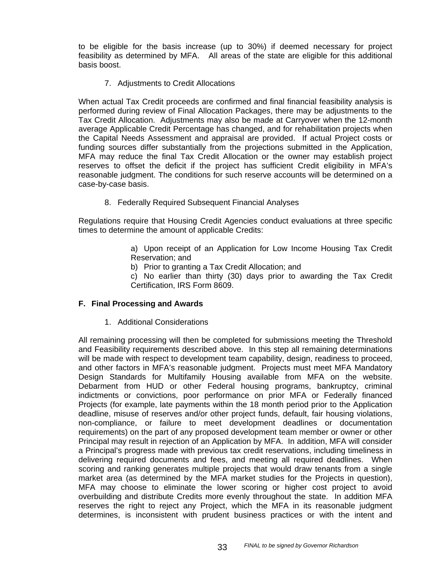to be eligible for the basis increase (up to 30%) if deemed necessary for project feasibility as determined by MFA. All areas of the state are eligible for this additional basis boost.

## 7. Adjustments to Credit Allocations

When actual Tax Credit proceeds are confirmed and final financial feasibility analysis is performed during review of Final Allocation Packages, there may be adjustments to the Tax Credit Allocation. Adjustments may also be made at Carryover when the 12-month average Applicable Credit Percentage has changed, and for rehabilitation projects when the Capital Needs Assessment and appraisal are provided. If actual Project costs or funding sources differ substantially from the projections submitted in the Application, MFA may reduce the final Tax Credit Allocation or the owner may establish project reserves to offset the deficit if the project has sufficient Credit eligibility in MFA's reasonable judgment. The conditions for such reserve accounts will be determined on a case-by-case basis.

8. Federally Required Subsequent Financial Analyses

Regulations require that Housing Credit Agencies conduct evaluations at three specific times to determine the amount of applicable Credits:

> a) Upon receipt of an Application for Low Income Housing Tax Credit Reservation; and

b) Prior to granting a Tax Credit Allocation; and

c) No earlier than thirty (30) days prior to awarding the Tax Credit Certification, IRS Form 8609.

## **F. Final Processing and Awards**

1. Additional Considerations

All remaining processing will then be completed for submissions meeting the Threshold and Feasibility requirements described above. In this step all remaining determinations will be made with respect to development team capability, design, readiness to proceed, and other factors in MFA's reasonable judgment. Projects must meet MFA Mandatory Design Standards for Multifamily Housing available from MFA on the website. Debarment from HUD or other Federal housing programs, bankruptcy, criminal indictments or convictions, poor performance on prior MFA or Federally financed Projects (for example, late payments within the 18 month period prior to the Application deadline, misuse of reserves and/or other project funds, default, fair housing violations, non-compliance, or failure to meet development deadlines or documentation requirements) on the part of any proposed development team member or owner or other Principal may result in rejection of an Application by MFA. In addition, MFA will consider a Principal's progress made with previous tax credit reservations, including timeliness in delivering required documents and fees, and meeting all required deadlines. When scoring and ranking generates multiple projects that would draw tenants from a single market area (as determined by the MFA market studies for the Projects in question), MFA may choose to eliminate the lower scoring or higher cost project to avoid overbuilding and distribute Credits more evenly throughout the state. In addition MFA reserves the right to reject any Project, which the MFA in its reasonable judgment determines, is inconsistent with prudent business practices or with the intent and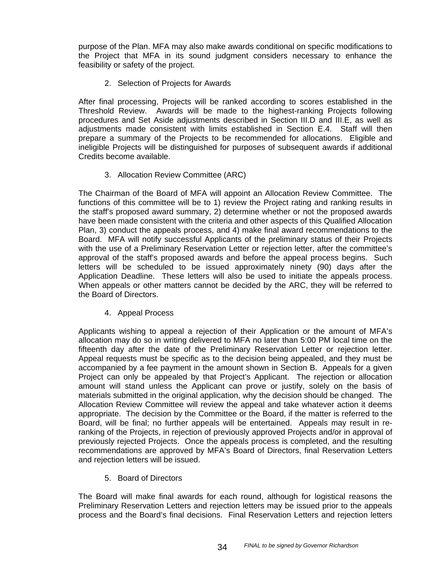purpose of the Plan. MFA may also make awards conditional on specific modifications to the Project that MFA in its sound judgment considers necessary to enhance the feasibility or safety of the project.

# 2. Selection of Projects for Awards

After final processing, Projects will be ranked according to scores established in the Threshold Review. Awards will be made to the highest-ranking Projects following procedures and Set Aside adjustments described in Section III.D and III.E, as well as adjustments made consistent with limits established in Section E.4. Staff will then prepare a summary of the Projects to be recommended for allocations. Eligible and ineligible Projects will be distinguished for purposes of subsequent awards if additional Credits become available.

# 3. Allocation Review Committee (ARC)

The Chairman of the Board of MFA will appoint an Allocation Review Committee. The functions of this committee will be to 1) review the Project rating and ranking results in the staff's proposed award summary, 2) determine whether or not the proposed awards have been made consistent with the criteria and other aspects of this Qualified Allocation Plan, 3) conduct the appeals process, and 4) make final award recommendations to the Board. MFA will notify successful Applicants of the preliminary status of their Projects with the use of a Preliminary Reservation Letter or rejection letter, after the committee's approval of the staff's proposed awards and before the appeal process begins. Such letters will be scheduled to be issued approximately ninety (90) days after the Application Deadline. These letters will also be used to initiate the appeals process. When appeals or other matters cannot be decided by the ARC, they will be referred to the Board of Directors.

4. Appeal Process

Applicants wishing to appeal a rejection of their Application or the amount of MFA's allocation may do so in writing delivered to MFA no later than 5:00 PM local time on the fifteenth day after the date of the Preliminary Reservation Letter or rejection letter. Appeal requests must be specific as to the decision being appealed, and they must be accompanied by a fee payment in the amount shown in Section B. Appeals for a given Project can only be appealed by that Project's Applicant. The rejection or allocation amount will stand unless the Applicant can prove or justify, solely on the basis of materials submitted in the original application, why the decision should be changed. The Allocation Review Committee will review the appeal and take whatever action it deems appropriate. The decision by the Committee or the Board, if the matter is referred to the Board, will be final; no further appeals will be entertained. Appeals may result in reranking of the Projects, in rejection of previously approved Projects and/or in approval of previously rejected Projects. Once the appeals process is completed, and the resulting recommendations are approved by MFA's Board of Directors, final Reservation Letters and rejection letters will be issued.

5. Board of Directors

The Board will make final awards for each round, although for logistical reasons the Preliminary Reservation Letters and rejection letters may be issued prior to the appeals process and the Board's final decisions. Final Reservation Letters and rejection letters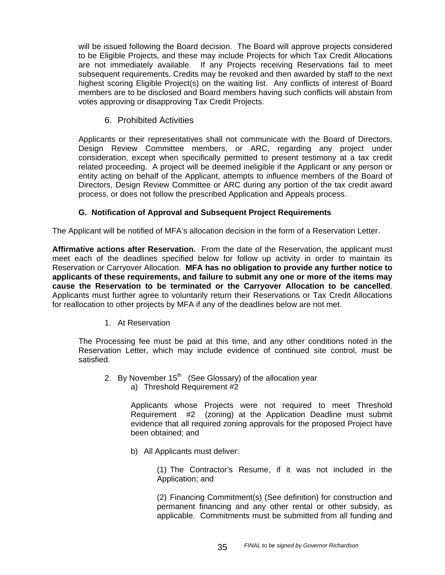will be issued following the Board decision. The Board will approve projects considered to be Eligible Projects, and these may include Projects for which Tax Credit Allocations are not immediately available. If any Projects receiving Reservations fail to meet subsequent requirements, Credits may be revoked and then awarded by staff to the next highest scoring Eligible Project(s) on the waiting list. Any conflicts of interest of Board members are to be disclosed and Board members having such conflicts will abstain from votes approving or disapproving Tax Credit Projects.

6. Prohibited Activities

Applicants or their representatives shall not communicate with the Board of Directors, Design Review Committee members, or ARC, regarding any project under consideration, except when specifically permitted to present testimony at a tax credit related proceeding. A project will be deemed ineligible if the Applicant or any person or entity acting on behalf of the Applicant, attempts to influence members of the Board of Directors, Design Review Committee or ARC during any portion of the tax credit award process, or does not follow the prescribed Application and Appeals process.

## **G. Notification of Approval and Subsequent Project Requirements**

The Applicant will be notified of MFA's allocation decision in the form of a Reservation Letter.

**Affirmative actions after Reservation.** From the date of the Reservation, the applicant must meet each of the deadlines specified below for follow up activity in order to maintain its Reservation or Carryover Allocation. **MFA has no obligation to provide any further notice to applicants of these requirements, and failure to submit any one or more of the items may cause the Reservation to be terminated or the Carryover Allocation to be cancelled**. Applicants must further agree to voluntarily return their Reservations or Tax Credit Allocations for reallocation to other projects by MFA if any of the deadlines below are not met.

## 1. At Reservation

The Processing fee must be paid at this time, and any other conditions noted in the Reservation Letter, which may include evidence of continued site control, must be satisfied.

- 2. By November  $15<sup>th</sup>$  (See Glossary) of the allocation vear
	- a) Threshold Requirement #2

Applicants whose Projects were not required to meet Threshold Requirement #2 (zoning) at the Application Deadline must submit evidence that all required zoning approvals for the proposed Project have been obtained; and

b) All Applicants must deliver:

(1) The Contractor's Resume, if it was not included in the Application; and

(2) Financing Commitment(s) (See definition) for construction and permanent financing and any other rental or other subsidy, as applicable. Commitments must be submitted from all funding and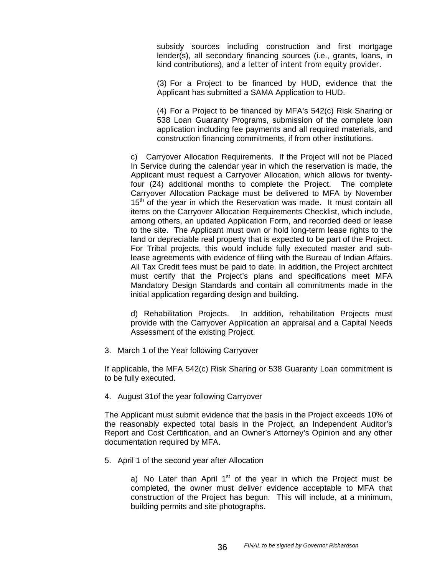subsidy sources including construction and first mortgage lender(s), all secondary financing sources (i.e., grants, loans, in kind contributions), and a letter of intent from equity provider.

(3) For a Project to be financed by HUD, evidence that the Applicant has submitted a SAMA Application to HUD.

(4) For a Project to be financed by MFA's 542(c) Risk Sharing or 538 Loan Guaranty Programs, submission of the complete loan application including fee payments and all required materials, and construction financing commitments, if from other institutions.

c) Carryover Allocation Requirements. If the Project will not be Placed In Service during the calendar year in which the reservation is made, the Applicant must request a Carryover Allocation, which allows for twentyfour (24) additional months to complete the Project. The complete Carryover Allocation Package must be delivered to MFA by November  $15<sup>th</sup>$  of the year in which the Reservation was made. It must contain all items on the Carryover Allocation Requirements Checklist, which include, among others, an updated Application Form, and recorded deed or lease to the site. The Applicant must own or hold long-term lease rights to the land or depreciable real property that is expected to be part of the Project. For Tribal projects, this would include fully executed master and sublease agreements with evidence of filing with the Bureau of Indian Affairs. All Tax Credit fees must be paid to date. In addition, the Project architect must certify that the Project's plans and specifications meet MFA Mandatory Design Standards and contain all commitments made in the initial application regarding design and building.

d) Rehabilitation Projects. In addition, rehabilitation Projects must provide with the Carryover Application an appraisal and a Capital Needs Assessment of the existing Project.

3. March 1 of the Year following Carryover

If applicable, the MFA 542(c) Risk Sharing or 538 Guaranty Loan commitment is to be fully executed.

4. August 31of the year following Carryover

The Applicant must submit evidence that the basis in the Project exceeds 10% of the reasonably expected total basis in the Project, an Independent Auditor's Report and Cost Certification, and an Owner's Attorney's Opinion and any other documentation required by MFA.

5. April 1 of the second year after Allocation

a) No Later than April  $1<sup>st</sup>$  of the year in which the Project must be completed, the owner must deliver evidence acceptable to MFA that construction of the Project has begun. This will include, at a minimum, building permits and site photographs.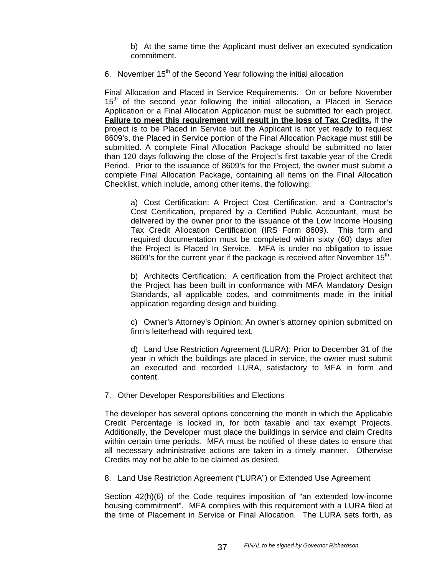b) At the same time the Applicant must deliver an executed syndication commitment.

6. November  $15<sup>th</sup>$  of the Second Year following the initial allocation

Final Allocation and Placed in Service Requirements. On or before November  $15<sup>th</sup>$  of the second year following the initial allocation, a Placed in Service Application or a Final Allocation Application must be submitted for each project. **Failure to meet this requirement will result in the loss of Tax Credits.** If the project is to be Placed in Service but the Applicant is not yet ready to request 8609's, the Placed in Service portion of the Final Allocation Package must still be submitted. A complete Final Allocation Package should be submitted no later than 120 days following the close of the Project's first taxable year of the Credit Period. Prior to the issuance of 8609's for the Project, the owner must submit a complete Final Allocation Package, containing all items on the Final Allocation Checklist, which include, among other items, the following:

a) Cost Certification: A Project Cost Certification, and a Contractor's Cost Certification, prepared by a Certified Public Accountant, must be delivered by the owner prior to the issuance of the Low Income Housing Tax Credit Allocation Certification (IRS Form 8609). This form and required documentation must be completed within sixty (60) days after the Project is Placed In Service. MFA is under no obligation to issue 8609's for the current year if the package is received after November  $15<sup>th</sup>$ .

b) Architects Certification: A certification from the Project architect that the Project has been built in conformance with MFA Mandatory Design Standards, all applicable codes, and commitments made in the initial application regarding design and building.

c) Owner's Attorney's Opinion: An owner's attorney opinion submitted on firm's letterhead with required text.

d) Land Use Restriction Agreement (LURA): Prior to December 31 of the year in which the buildings are placed in service, the owner must submit an executed and recorded LURA, satisfactory to MFA in form and content.

7. Other Developer Responsibilities and Elections

The developer has several options concerning the month in which the Applicable Credit Percentage is locked in, for both taxable and tax exempt Projects. Additionally, the Developer must place the buildings in service and claim Credits within certain time periods. MFA must be notified of these dates to ensure that all necessary administrative actions are taken in a timely manner. Otherwise Credits may not be able to be claimed as desired.

8. Land Use Restriction Agreement ("LURA") or Extended Use Agreement

Section 42(h)(6) of the Code requires imposition of "an extended low-income housing commitment". MFA complies with this requirement with a LURA filed at the time of Placement in Service or Final Allocation. The LURA sets forth, as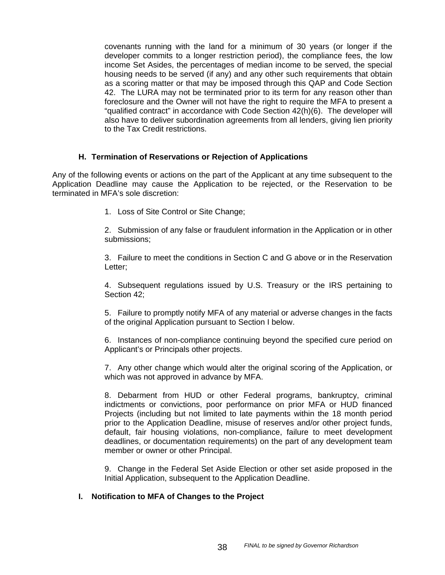covenants running with the land for a minimum of 30 years (or longer if the developer commits to a longer restriction period), the compliance fees, the low income Set Asides, the percentages of median income to be served, the special housing needs to be served (if any) and any other such requirements that obtain as a scoring matter or that may be imposed through this QAP and Code Section 42. The LURA may not be terminated prior to its term for any reason other than foreclosure and the Owner will not have the right to require the MFA to present a "qualified contract" in accordance with Code Section 42(h)(6). The developer will also have to deliver subordination agreements from all lenders, giving lien priority to the Tax Credit restrictions.

#### **H. Termination of Reservations or Rejection of Applications**

Any of the following events or actions on the part of the Applicant at any time subsequent to the Application Deadline may cause the Application to be rejected, or the Reservation to be terminated in MFA's sole discretion:

1. Loss of Site Control or Site Change;

2. Submission of any false or fraudulent information in the Application or in other submissions;

3. Failure to meet the conditions in Section C and G above or in the Reservation Letter;

4. Subsequent regulations issued by U.S. Treasury or the IRS pertaining to Section 42;

5. Failure to promptly notify MFA of any material or adverse changes in the facts of the original Application pursuant to Section I below.

6. Instances of non-compliance continuing beyond the specified cure period on Applicant's or Principals other projects.

7. Any other change which would alter the original scoring of the Application, or which was not approved in advance by MFA.

8. Debarment from HUD or other Federal programs, bankruptcy, criminal indictments or convictions, poor performance on prior MFA or HUD financed Projects (including but not limited to late payments within the 18 month period prior to the Application Deadline, misuse of reserves and/or other project funds, default, fair housing violations, non-compliance, failure to meet development deadlines, or documentation requirements) on the part of any development team member or owner or other Principal.

9. Change in the Federal Set Aside Election or other set aside proposed in the Initial Application, subsequent to the Application Deadline.

#### **I. Notification to MFA of Changes to the Project**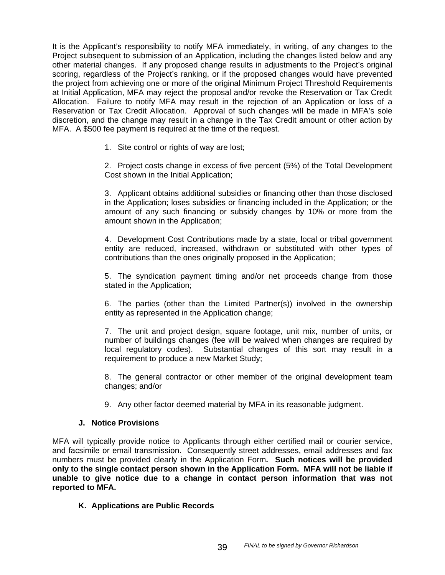It is the Applicant's responsibility to notify MFA immediately, in writing, of any changes to the Project subsequent to submission of an Application, including the changes listed below and any other material changes. If any proposed change results in adjustments to the Project's original scoring, regardless of the Project's ranking, or if the proposed changes would have prevented the project from achieving one or more of the original Minimum Project Threshold Requirements at Initial Application, MFA may reject the proposal and/or revoke the Reservation or Tax Credit Allocation. Failure to notify MFA may result in the rejection of an Application or loss of a Reservation or Tax Credit Allocation. Approval of such changes will be made in MFA's sole discretion, and the change may result in a change in the Tax Credit amount or other action by MFA. A \$500 fee payment is required at the time of the request.

1. Site control or rights of way are lost;

2. Project costs change in excess of five percent (5%) of the Total Development Cost shown in the Initial Application;

3. Applicant obtains additional subsidies or financing other than those disclosed in the Application; loses subsidies or financing included in the Application; or the amount of any such financing or subsidy changes by 10% or more from the amount shown in the Application;

4. Development Cost Contributions made by a state, local or tribal government entity are reduced, increased, withdrawn or substituted with other types of contributions than the ones originally proposed in the Application;

5. The syndication payment timing and/or net proceeds change from those stated in the Application;

6. The parties (other than the Limited Partner(s)) involved in the ownership entity as represented in the Application change;

7. The unit and project design, square footage, unit mix, number of units, or number of buildings changes (fee will be waived when changes are required by local regulatory codes). Substantial changes of this sort may result in a requirement to produce a new Market Study;

8. The general contractor or other member of the original development team changes; and/or

9. Any other factor deemed material by MFA in its reasonable judgment.

#### **J. Notice Provisions**

MFA will typically provide notice to Applicants through either certified mail or courier service, and facsimile or email transmission. Consequently street addresses, email addresses and fax numbers must be provided clearly in the Application Form**. Such notices will be provided only to the single contact person shown in the Application Form. MFA will not be liable if unable to give notice due to a change in contact person information that was not reported to MFA.** 

## **K. Applications are Public Records**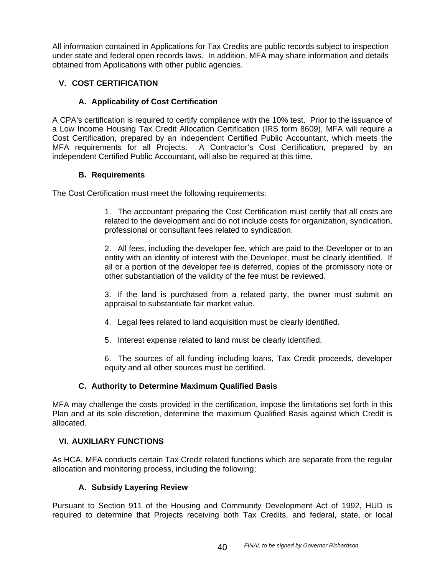All information contained in Applications for Tax Credits are public records subject to inspection under state and federal open records laws. In addition, MFA may share information and details obtained from Applications with other public agencies.

# **V. COST CERTIFICATION**

# **A. Applicability of Cost Certification**

A CPA's certification is required to certify compliance with the 10% test. Prior to the issuance of a Low Income Housing Tax Credit Allocation Certification (IRS form 8609), MFA will require a Cost Certification, prepared by an independent Certified Public Accountant, which meets the MFA requirements for all Projects. A Contractor's Cost Certification, prepared by an independent Certified Public Accountant, will also be required at this time.

## **B. Requirements**

The Cost Certification must meet the following requirements:

1. The accountant preparing the Cost Certification must certify that all costs are related to the development and do not include costs for organization, syndication, professional or consultant fees related to syndication.

2. All fees, including the developer fee, which are paid to the Developer or to an entity with an identity of interest with the Developer, must be clearly identified. If all or a portion of the developer fee is deferred, copies of the promissory note or other substantiation of the validity of the fee must be reviewed.

3. If the land is purchased from a related party, the owner must submit an appraisal to substantiate fair market value.

- 4. Legal fees related to land acquisition must be clearly identified.
- 5. Interest expense related to land must be clearly identified.

6. The sources of all funding including loans, Tax Credit proceeds, developer equity and all other sources must be certified.

## **C. Authority to Determine Maximum Qualified Basis**

MFA may challenge the costs provided in the certification, impose the limitations set forth in this Plan and at its sole discretion, determine the maximum Qualified Basis against which Credit is allocated.

## **VI. AUXILIARY FUNCTIONS**

As HCA, MFA conducts certain Tax Credit related functions which are separate from the regular allocation and monitoring process, including the following;

## **A. Subsidy Layering Review**

Pursuant to Section 911 of the Housing and Community Development Act of 1992, HUD is required to determine that Projects receiving both Tax Credits, and federal, state, or local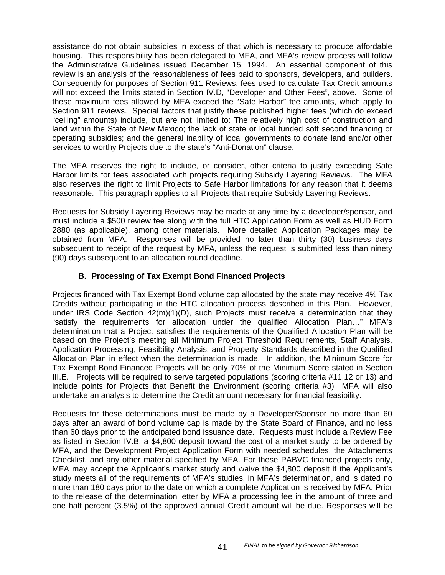assistance do not obtain subsidies in excess of that which is necessary to produce affordable housing. This responsibility has been delegated to MFA, and MFA's review process will follow the Administrative Guidelines issued December 15, 1994. An essential component of this review is an analysis of the reasonableness of fees paid to sponsors, developers, and builders. Consequently for purposes of Section 911 Reviews, fees used to calculate Tax Credit amounts will not exceed the limits stated in Section IV.D, "Developer and Other Fees", above. Some of these maximum fees allowed by MFA exceed the "Safe Harbor" fee amounts, which apply to Section 911 reviews. Special factors that justify these published higher fees (which do exceed "ceiling" amounts) include, but are not limited to: The relatively high cost of construction and land within the State of New Mexico; the lack of state or local funded soft second financing or operating subsidies; and the general inability of local governments to donate land and/or other services to worthy Projects due to the state's "Anti-Donation" clause.

The MFA reserves the right to include, or consider, other criteria to justify exceeding Safe Harbor limits for fees associated with projects requiring Subsidy Layering Reviews. The MFA also reserves the right to limit Projects to Safe Harbor limitations for any reason that it deems reasonable. This paragraph applies to all Projects that require Subsidy Layering Reviews.

Requests for Subsidy Layering Reviews may be made at any time by a developer/sponsor, and must include a \$500 review fee along with the full HTC Application Form as well as HUD Form 2880 (as applicable), among other materials. More detailed Application Packages may be obtained from MFA. Responses will be provided no later than thirty (30) business days subsequent to receipt of the request by MFA, unless the request is submitted less than ninety (90) days subsequent to an allocation round deadline.

# **B. Processing of Tax Exempt Bond Financed Projects**

Projects financed with Tax Exempt Bond volume cap allocated by the state may receive 4% Tax Credits without participating in the HTC allocation process described in this Plan. However, under IRS Code Section 42(m)(1)(D), such Projects must receive a determination that they "satisfy the requirements for allocation under the qualified Allocation Plan…" MFA's determination that a Project satisfies the requirements of the Qualified Allocation Plan will be based on the Project's meeting all Minimum Project Threshold Requirements, Staff Analysis, Application Processing, Feasibility Analysis, and Property Standards described in the Qualified Allocation Plan in effect when the determination is made. In addition, the Minimum Score for Tax Exempt Bond Financed Projects will be only 70% of the Minimum Score stated in Section III.E. Projects will be required to serve targeted populations (scoring criteria #11,12 or 13) and include points for Projects that Benefit the Environment (scoring criteria #3) MFA will also undertake an analysis to determine the Credit amount necessary for financial feasibility.

Requests for these determinations must be made by a Developer/Sponsor no more than 60 days after an award of bond volume cap is made by the State Board of Finance, and no less than 60 days prior to the anticipated bond issuance date. Requests must include a Review Fee as listed in Section IV.B, a \$4,800 deposit toward the cost of a market study to be ordered by MFA, and the Development Project Application Form with needed schedules, the Attachments Checklist, and any other material specified by MFA. For these PABVC financed projects only, MFA may accept the Applicant's market study and waive the \$4,800 deposit if the Applicant's study meets all of the requirements of MFA's studies, in MFA's determination, and is dated no more than 180 days prior to the date on which a complete Application is received by MFA. Prior to the release of the determination letter by MFA a processing fee in the amount of three and one half percent (3.5%) of the approved annual Credit amount will be due. Responses will be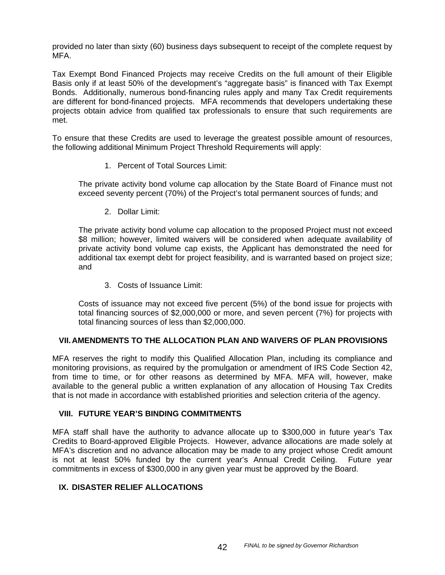provided no later than sixty (60) business days subsequent to receipt of the complete request by MFA.

Tax Exempt Bond Financed Projects may receive Credits on the full amount of their Eligible Basis only if at least 50% of the development's "aggregate basis" is financed with Tax Exempt Bonds. Additionally, numerous bond-financing rules apply and many Tax Credit requirements are different for bond-financed projects. MFA recommends that developers undertaking these projects obtain advice from qualified tax professionals to ensure that such requirements are met.

To ensure that these Credits are used to leverage the greatest possible amount of resources, the following additional Minimum Project Threshold Requirements will apply:

1. Percent of Total Sources Limit:

The private activity bond volume cap allocation by the State Board of Finance must not exceed seventy percent (70%) of the Project's total permanent sources of funds; and

2. Dollar Limit:

The private activity bond volume cap allocation to the proposed Project must not exceed \$8 million; however, limited waivers will be considered when adequate availability of private activity bond volume cap exists, the Applicant has demonstrated the need for additional tax exempt debt for project feasibility, and is warranted based on project size; and

3. Costs of Issuance Limit:

Costs of issuance may not exceed five percent (5%) of the bond issue for projects with total financing sources of \$2,000,000 or more, and seven percent (7%) for projects with total financing sources of less than \$2,000,000.

## **VII. AMENDMENTS TO THE ALLOCATION PLAN AND WAIVERS OF PLAN PROVISIONS**

MFA reserves the right to modify this Qualified Allocation Plan, including its compliance and monitoring provisions, as required by the promulgation or amendment of IRS Code Section 42, from time to time, or for other reasons as determined by MFA. MFA will, however, make available to the general public a written explanation of any allocation of Housing Tax Credits that is not made in accordance with established priorities and selection criteria of the agency.

#### **VIII. FUTURE YEAR'S BINDING COMMITMENTS**

MFA staff shall have the authority to advance allocate up to \$300,000 in future year's Tax Credits to Board-approved Eligible Projects. However, advance allocations are made solely at MFA's discretion and no advance allocation may be made to any project whose Credit amount is not at least 50% funded by the current year's Annual Credit Ceiling. Future year commitments in excess of \$300,000 in any given year must be approved by the Board.

## **IX. DISASTER RELIEF ALLOCATIONS**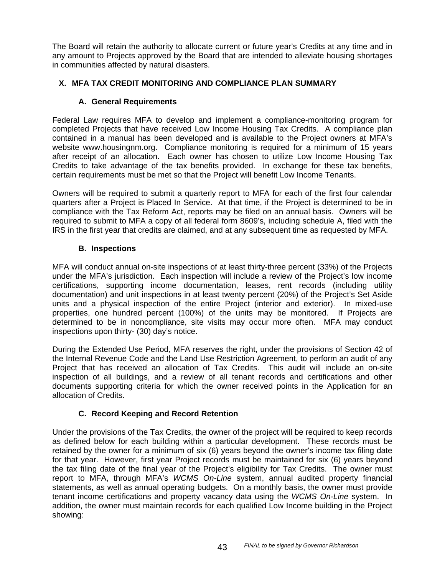The Board will retain the authority to allocate current or future year's Credits at any time and in any amount to Projects approved by the Board that are intended to alleviate housing shortages in communities affected by natural disasters.

# **X. MFA TAX CREDIT MONITORING AND COMPLIANCE PLAN SUMMARY**

## **A. General Requirements**

Federal Law requires MFA to develop and implement a compliance-monitoring program for completed Projects that have received Low Income Housing Tax Credits. A compliance plan contained in a manual has been developed and is available to the Project owners at MFA's website www.housingnm.org. Compliance monitoring is required for a minimum of 15 years after receipt of an allocation. Each owner has chosen to utilize Low Income Housing Tax Credits to take advantage of the tax benefits provided. In exchange for these tax benefits, certain requirements must be met so that the Project will benefit Low Income Tenants.

Owners will be required to submit a quarterly report to MFA for each of the first four calendar quarters after a Project is Placed In Service. At that time, if the Project is determined to be in compliance with the Tax Reform Act, reports may be filed on an annual basis. Owners will be required to submit to MFA a copy of all federal form 8609's, including schedule A, filed with the IRS in the first year that credits are claimed, and at any subsequent time as requested by MFA.

# **B. Inspections**

MFA will conduct annual on-site inspections of at least thirty-three percent (33%) of the Projects under the MFA's jurisdiction. Each inspection will include a review of the Project's low income certifications, supporting income documentation, leases, rent records (including utility documentation) and unit inspections in at least twenty percent (20%) of the Project's Set Aside units and a physical inspection of the entire Project (interior and exterior). In mixed-use properties, one hundred percent (100%) of the units may be monitored. If Projects are determined to be in noncompliance, site visits may occur more often. MFA may conduct inspections upon thirty- (30) day's notice.

During the Extended Use Period, MFA reserves the right, under the provisions of Section 42 of the Internal Revenue Code and the Land Use Restriction Agreement, to perform an audit of any Project that has received an allocation of Tax Credits. This audit will include an on-site inspection of all buildings, and a review of all tenant records and certifications and other documents supporting criteria for which the owner received points in the Application for an allocation of Credits.

# **C. Record Keeping and Record Retention**

Under the provisions of the Tax Credits, the owner of the project will be required to keep records as defined below for each building within a particular development. These records must be retained by the owner for a minimum of six (6) years beyond the owner's income tax filing date for that year. However, first year Project records must be maintained for six (6) years beyond the tax filing date of the final year of the Project's eligibility for Tax Credits. The owner must report to MFA, through MFA's *WCMS On-Line* system, annual audited property financial statements, as well as annual operating budgets. On a monthly basis, the owner must provide tenant income certifications and property vacancy data using the *WCMS On-Line* system. In addition, the owner must maintain records for each qualified Low Income building in the Project showing: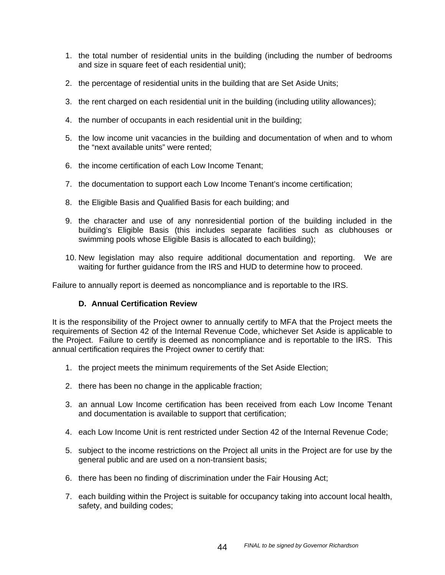- 1. the total number of residential units in the building (including the number of bedrooms and size in square feet of each residential unit);
- 2. the percentage of residential units in the building that are Set Aside Units;
- 3. the rent charged on each residential unit in the building (including utility allowances);
- 4. the number of occupants in each residential unit in the building;
- 5. the low income unit vacancies in the building and documentation of when and to whom the "next available units" were rented;
- 6. the income certification of each Low Income Tenant;
- 7. the documentation to support each Low Income Tenant's income certification;
- 8. the Eligible Basis and Qualified Basis for each building; and
- 9. the character and use of any nonresidential portion of the building included in the building's Eligible Basis (this includes separate facilities such as clubhouses or swimming pools whose Eligible Basis is allocated to each building);
- 10. New legislation may also require additional documentation and reporting. We are waiting for further guidance from the IRS and HUD to determine how to proceed.

Failure to annually report is deemed as noncompliance and is reportable to the IRS.

## **D. Annual Certification Review**

It is the responsibility of the Project owner to annually certify to MFA that the Project meets the requirements of Section 42 of the Internal Revenue Code, whichever Set Aside is applicable to the Project. Failure to certify is deemed as noncompliance and is reportable to the IRS. This annual certification requires the Project owner to certify that:

- 1. the project meets the minimum requirements of the Set Aside Election;
- 2. there has been no change in the applicable fraction;
- 3. an annual Low Income certification has been received from each Low Income Tenant and documentation is available to support that certification;
- 4. each Low Income Unit is rent restricted under Section 42 of the Internal Revenue Code;
- 5. subject to the income restrictions on the Project all units in the Project are for use by the general public and are used on a non-transient basis;
- 6. there has been no finding of discrimination under the Fair Housing Act;
- 7. each building within the Project is suitable for occupancy taking into account local health, safety, and building codes;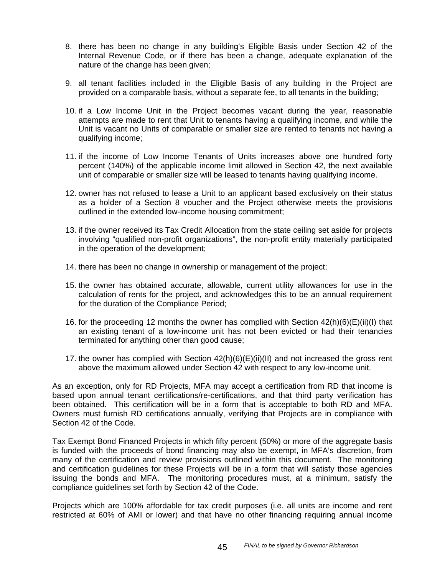- 8. there has been no change in any building's Eligible Basis under Section 42 of the Internal Revenue Code, or if there has been a change, adequate explanation of the nature of the change has been given;
- 9. all tenant facilities included in the Eligible Basis of any building in the Project are provided on a comparable basis, without a separate fee, to all tenants in the building;
- 10. if a Low Income Unit in the Project becomes vacant during the year, reasonable attempts are made to rent that Unit to tenants having a qualifying income, and while the Unit is vacant no Units of comparable or smaller size are rented to tenants not having a qualifying income;
- 11. if the income of Low Income Tenants of Units increases above one hundred forty percent (140%) of the applicable income limit allowed in Section 42, the next available unit of comparable or smaller size will be leased to tenants having qualifying income.
- 12. owner has not refused to lease a Unit to an applicant based exclusively on their status as a holder of a Section 8 voucher and the Project otherwise meets the provisions outlined in the extended low-income housing commitment;
- 13. if the owner received its Tax Credit Allocation from the state ceiling set aside for projects involving "qualified non-profit organizations", the non-profit entity materially participated in the operation of the development;
- 14. there has been no change in ownership or management of the project;
- 15. the owner has obtained accurate, allowable, current utility allowances for use in the calculation of rents for the project, and acknowledges this to be an annual requirement for the duration of the Compliance Period;
- 16. for the proceeding 12 months the owner has complied with Section 42(h)(6)(E)(ii)(I) that an existing tenant of a low-income unit has not been evicted or had their tenancies terminated for anything other than good cause;
- 17. the owner has complied with Section 42(h)(6)(E)(ii)(II) and not increased the gross rent above the maximum allowed under Section 42 with respect to any low-income unit.

As an exception, only for RD Projects, MFA may accept a certification from RD that income is based upon annual tenant certifications/re-certifications, and that third party verification has been obtained. This certification will be in a form that is acceptable to both RD and MFA. Owners must furnish RD certifications annually, verifying that Projects are in compliance with Section 42 of the Code.

Tax Exempt Bond Financed Projects in which fifty percent (50%) or more of the aggregate basis is funded with the proceeds of bond financing may also be exempt, in MFA's discretion, from many of the certification and review provisions outlined within this document. The monitoring and certification guidelines for these Projects will be in a form that will satisfy those agencies issuing the bonds and MFA. The monitoring procedures must, at a minimum, satisfy the compliance guidelines set forth by Section 42 of the Code.

Projects which are 100% affordable for tax credit purposes (i.e. all units are income and rent restricted at 60% of AMI or lower) and that have no other financing requiring annual income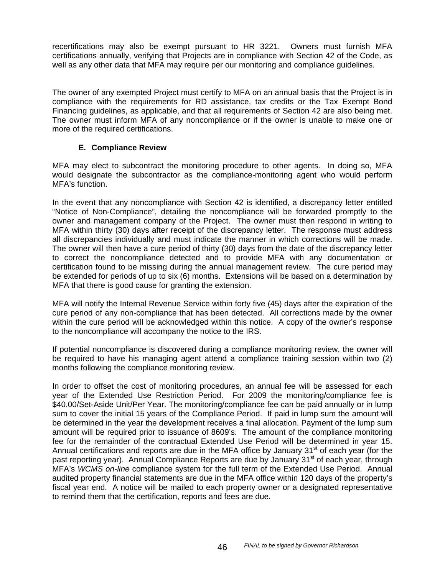recertifications may also be exempt pursuant to HR 3221. Owners must furnish MFA certifications annually, verifying that Projects are in compliance with Section 42 of the Code, as well as any other data that MFA may require per our monitoring and compliance guidelines.

The owner of any exempted Project must certify to MFA on an annual basis that the Project is in compliance with the requirements for RD assistance, tax credits or the Tax Exempt Bond Financing guidelines, as applicable, and that all requirements of Section 42 are also being met. The owner must inform MFA of any noncompliance or if the owner is unable to make one or more of the required certifications.

## **E. Compliance Review**

MFA may elect to subcontract the monitoring procedure to other agents. In doing so, MFA would designate the subcontractor as the compliance-monitoring agent who would perform MFA's function.

In the event that any noncompliance with Section 42 is identified, a discrepancy letter entitled "Notice of Non-Compliance", detailing the noncompliance will be forwarded promptly to the owner and management company of the Project. The owner must then respond in writing to MFA within thirty (30) days after receipt of the discrepancy letter. The response must address all discrepancies individually and must indicate the manner in which corrections will be made. The owner will then have a cure period of thirty (30) days from the date of the discrepancy letter to correct the noncompliance detected and to provide MFA with any documentation or certification found to be missing during the annual management review. The cure period may be extended for periods of up to six (6) months. Extensions will be based on a determination by MFA that there is good cause for granting the extension.

MFA will notify the Internal Revenue Service within forty five (45) days after the expiration of the cure period of any non-compliance that has been detected. All corrections made by the owner within the cure period will be acknowledged within this notice. A copy of the owner's response to the noncompliance will accompany the notice to the IRS.

If potential noncompliance is discovered during a compliance monitoring review, the owner will be required to have his managing agent attend a compliance training session within two (2) months following the compliance monitoring review.

In order to offset the cost of monitoring procedures, an annual fee will be assessed for each year of the Extended Use Restriction Period. For 2009 the monitoring/compliance fee is \$40.00/Set-Aside Unit/Per Year. The monitoring/compliance fee can be paid annually or in lump sum to cover the initial 15 years of the Compliance Period. If paid in lump sum the amount will be determined in the year the development receives a final allocation. Payment of the lump sum amount will be required prior to issuance of 8609's. The amount of the compliance monitoring fee for the remainder of the contractual Extended Use Period will be determined in year 15. Annual certifications and reports are due in the MFA office by January  $31<sup>st</sup>$  of each year (for the past reporting year). Annual Compliance Reports are due by January 31<sup>st</sup> of each year, through MFA's *WCMS on-line* compliance system for the full term of the Extended Use Period. Annual audited property financial statements are due in the MFA office within 120 days of the property's fiscal year end. A notice will be mailed to each property owner or a designated representative to remind them that the certification, reports and fees are due.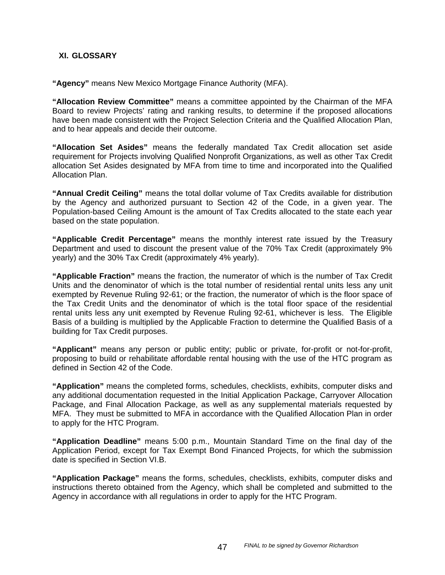### **XI. GLOSSARY**

**"Agency"** means New Mexico Mortgage Finance Authority (MFA).

**"Allocation Review Committee"** means a committee appointed by the Chairman of the MFA Board to review Projects' rating and ranking results, to determine if the proposed allocations have been made consistent with the Project Selection Criteria and the Qualified Allocation Plan, and to hear appeals and decide their outcome.

**"Allocation Set Asides"** means the federally mandated Tax Credit allocation set aside requirement for Projects involving Qualified Nonprofit Organizations, as well as other Tax Credit allocation Set Asides designated by MFA from time to time and incorporated into the Qualified Allocation Plan.

**"Annual Credit Ceiling"** means the total dollar volume of Tax Credits available for distribution by the Agency and authorized pursuant to Section 42 of the Code, in a given year. The Population-based Ceiling Amount is the amount of Tax Credits allocated to the state each year based on the state population.

**"Applicable Credit Percentage"** means the monthly interest rate issued by the Treasury Department and used to discount the present value of the 70% Tax Credit (approximately 9% yearly) and the 30% Tax Credit (approximately 4% yearly).

**"Applicable Fraction"** means the fraction, the numerator of which is the number of Tax Credit Units and the denominator of which is the total number of residential rental units less any unit exempted by Revenue Ruling 92-61; or the fraction, the numerator of which is the floor space of the Tax Credit Units and the denominator of which is the total floor space of the residential rental units less any unit exempted by Revenue Ruling 92-61, whichever is less. The Eligible Basis of a building is multiplied by the Applicable Fraction to determine the Qualified Basis of a building for Tax Credit purposes.

**"Applicant"** means any person or public entity; public or private, for-profit or not-for-profit, proposing to build or rehabilitate affordable rental housing with the use of the HTC program as defined in Section 42 of the Code.

**"Application"** means the completed forms, schedules, checklists, exhibits, computer disks and any additional documentation requested in the Initial Application Package, Carryover Allocation Package, and Final Allocation Package, as well as any supplemental materials requested by MFA. They must be submitted to MFA in accordance with the Qualified Allocation Plan in order to apply for the HTC Program.

**"Application Deadline"** means 5:00 p.m., Mountain Standard Time on the final day of the Application Period, except for Tax Exempt Bond Financed Projects, for which the submission date is specified in Section VI.B.

**"Application Package"** means the forms, schedules, checklists, exhibits, computer disks and instructions thereto obtained from the Agency, which shall be completed and submitted to the Agency in accordance with all regulations in order to apply for the HTC Program.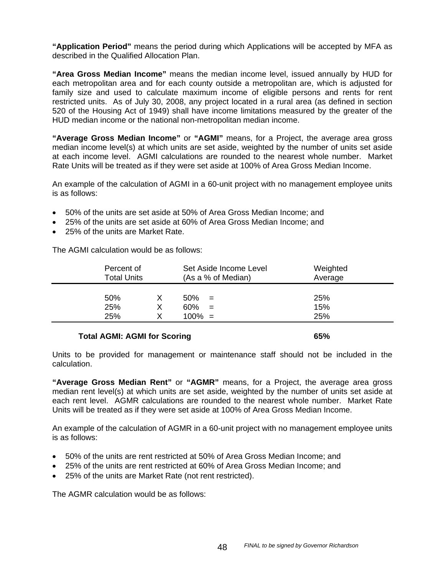**"Application Period"** means the period during which Applications will be accepted by MFA as described in the Qualified Allocation Plan.

**"Area Gross Median Income"** means the median income level, issued annually by HUD for each metropolitan area and for each county outside a metropolitan are, which is adjusted for family size and used to calculate maximum income of eligible persons and rents for rent restricted units. As of July 30, 2008, any project located in a rural area (as defined in section 520 of the Housing Act of 1949) shall have income limitations measured by the greater of the HUD median income or the national non-metropolitan median income.

**"Average Gross Median Income"** or **"AGMI"** means, for a Project, the average area gross median income level(s) at which units are set aside, weighted by the number of units set aside at each income level. AGMI calculations are rounded to the nearest whole number. Market Rate Units will be treated as if they were set aside at 100% of Area Gross Median Income.

An example of the calculation of AGMI in a 60-unit project with no management employee units is as follows:

- 50% of the units are set aside at 50% of Area Gross Median Income; and
- 25% of the units are set aside at 60% of Area Gross Median Income; and
- 25% of the units are Market Rate.

The AGMI calculation would be as follows:

| Percent of<br><b>Total Units</b> |  | Set Aside Income Level<br>(As a % of Median) | Weighted<br>Average |
|----------------------------------|--|----------------------------------------------|---------------------|
| 50%                              |  | 50%<br>$=$                                   | 25%                 |
| 25%                              |  | 60%<br>$=$                                   | 15%                 |
| 25%                              |  | $100\% =$                                    | 25%                 |
|                                  |  |                                              |                     |

#### **Total AGMI: AGMI for Scoring 65% 65%**

Units to be provided for management or maintenance staff should not be included in the calculation.

**"Average Gross Median Rent"** or **"AGMR"** means, for a Project, the average area gross median rent level(s) at which units are set aside, weighted by the number of units set aside at each rent level. AGMR calculations are rounded to the nearest whole number. Market Rate Units will be treated as if they were set aside at 100% of Area Gross Median Income.

An example of the calculation of AGMR in a 60-unit project with no management employee units is as follows:

- 50% of the units are rent restricted at 50% of Area Gross Median Income; and
- 25% of the units are rent restricted at 60% of Area Gross Median Income; and
- 25% of the units are Market Rate (not rent restricted).

The AGMR calculation would be as follows: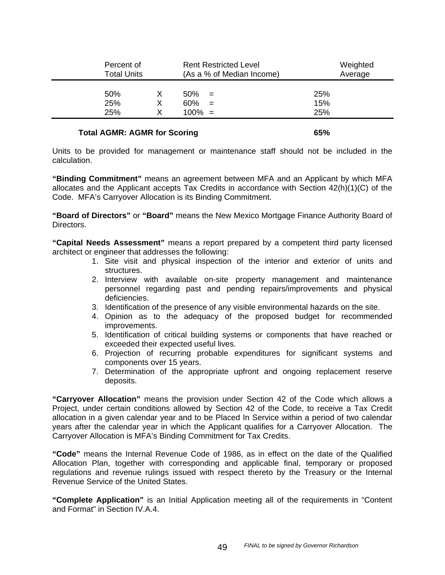| Percent of<br><b>Total Units</b> |   |           | <b>Rent Restricted Level</b><br>(As a % of Median Income) |     | Weighted<br>Average |  |
|----------------------------------|---|-----------|-----------------------------------------------------------|-----|---------------------|--|
| 50%                              |   | 50%       | $=$                                                       | 25% |                     |  |
| 25%                              | х | 60%       | $=$                                                       | 15% |                     |  |
| 25%                              |   | $100\% =$ |                                                           | 25% |                     |  |
|                                  |   |           |                                                           |     |                     |  |

#### Total AGMR: AGMR for Scoring **65%**

Units to be provided for management or maintenance staff should not be included in the calculation.

**"Binding Commitment"** means an agreement between MFA and an Applicant by which MFA allocates and the Applicant accepts Tax Credits in accordance with Section 42(h)(1)(C) of the Code. MFA's Carryover Allocation is its Binding Commitment.

**"Board of Directors"** or **"Board"** means the New Mexico Mortgage Finance Authority Board of Directors.

**"Capital Needs Assessment"** means a report prepared by a competent third party licensed architect or engineer that addresses the following:

- 1. Site visit and physical inspection of the interior and exterior of units and structures.
- 2. Interview with available on-site property management and maintenance personnel regarding past and pending repairs/improvements and physical deficiencies.
- 3. Identification of the presence of any visible environmental hazards on the site.
- 4. Opinion as to the adequacy of the proposed budget for recommended improvements.
- 5. Identification of critical building systems or components that have reached or exceeded their expected useful lives.
- 6. Projection of recurring probable expenditures for significant systems and components over 15 years.
- 7. Determination of the appropriate upfront and ongoing replacement reserve deposits.

**"Carryover Allocation"** means the provision under Section 42 of the Code which allows a Project, under certain conditions allowed by Section 42 of the Code, to receive a Tax Credit allocation in a given calendar year and to be Placed In Service within a period of two calendar years after the calendar year in which the Applicant qualifies for a Carryover Allocation. The Carryover Allocation is MFA's Binding Commitment for Tax Credits.

**"Code"** means the Internal Revenue Code of 1986, as in effect on the date of the Qualified Allocation Plan, together with corresponding and applicable final, temporary or proposed regulations and revenue rulings issued with respect thereto by the Treasury or the Internal Revenue Service of the United States.

**"Complete Application"** is an Initial Application meeting all of the requirements in "Content and Format" in Section IV.A.4.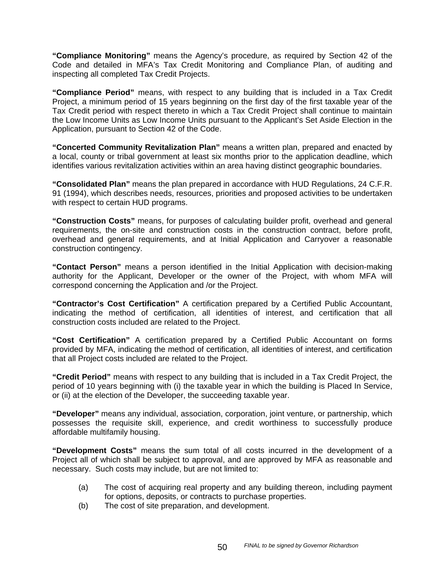**"Compliance Monitoring"** means the Agency's procedure, as required by Section 42 of the Code and detailed in MFA's Tax Credit Monitoring and Compliance Plan, of auditing and inspecting all completed Tax Credit Projects.

**"Compliance Period"** means, with respect to any building that is included in a Tax Credit Project, a minimum period of 15 years beginning on the first day of the first taxable year of the Tax Credit period with respect thereto in which a Tax Credit Project shall continue to maintain the Low Income Units as Low Income Units pursuant to the Applicant's Set Aside Election in the Application, pursuant to Section 42 of the Code.

**"Concerted Community Revitalization Plan"** means a written plan, prepared and enacted by a local, county or tribal government at least six months prior to the application deadline, which identifies various revitalization activities within an area having distinct geographic boundaries.

**"Consolidated Plan"** means the plan prepared in accordance with HUD Regulations, 24 C.F.R. 91 (1994), which describes needs, resources, priorities and proposed activities to be undertaken with respect to certain HUD programs.

**"Construction Costs"** means, for purposes of calculating builder profit, overhead and general requirements, the on-site and construction costs in the construction contract, before profit, overhead and general requirements, and at Initial Application and Carryover a reasonable construction contingency.

**"Contact Person"** means a person identified in the Initial Application with decision-making authority for the Applicant, Developer or the owner of the Project, with whom MFA will correspond concerning the Application and /or the Project.

**"Contractor's Cost Certification"** A certification prepared by a Certified Public Accountant, indicating the method of certification, all identities of interest, and certification that all construction costs included are related to the Project.

**"Cost Certification"** A certification prepared by a Certified Public Accountant on forms provided by MFA, indicating the method of certification, all identities of interest, and certification that all Project costs included are related to the Project.

**"Credit Period"** means with respect to any building that is included in a Tax Credit Project, the period of 10 years beginning with (i) the taxable year in which the building is Placed In Service, or (ii) at the election of the Developer, the succeeding taxable year.

**"Developer"** means any individual, association, corporation, joint venture, or partnership, which possesses the requisite skill, experience, and credit worthiness to successfully produce affordable multifamily housing.

**"Development Costs"** means the sum total of all costs incurred in the development of a Project all of which shall be subject to approval, and are approved by MFA as reasonable and necessary. Such costs may include, but are not limited to:

- (a) The cost of acquiring real property and any building thereon, including payment for options, deposits, or contracts to purchase properties.
- (b) The cost of site preparation, and development.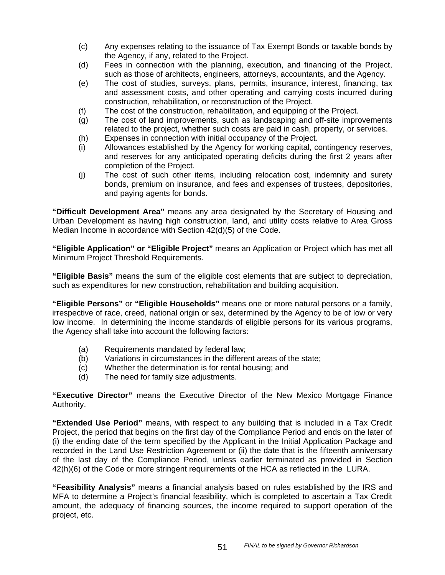- (c) Any expenses relating to the issuance of Tax Exempt Bonds or taxable bonds by the Agency, if any, related to the Project.
- (d) Fees in connection with the planning, execution, and financing of the Project, such as those of architects, engineers, attorneys, accountants, and the Agency.
- (e) The cost of studies, surveys, plans, permits, insurance, interest, financing, tax and assessment costs, and other operating and carrying costs incurred during construction, rehabilitation, or reconstruction of the Project.
- (f) The cost of the construction, rehabilitation, and equipping of the Project.
- (g) The cost of land improvements, such as landscaping and off-site improvements related to the project, whether such costs are paid in cash, property, or services.
- (h) Expenses in connection with initial occupancy of the Project.
- (i) Allowances established by the Agency for working capital, contingency reserves, and reserves for any anticipated operating deficits during the first 2 years after completion of the Project.
- (j) The cost of such other items, including relocation cost, indemnity and surety bonds, premium on insurance, and fees and expenses of trustees, depositories, and paying agents for bonds.

**"Difficult Development Area"** means any area designated by the Secretary of Housing and Urban Development as having high construction, land, and utility costs relative to Area Gross Median Income in accordance with Section 42(d)(5) of the Code.

**"Eligible Application" or "Eligible Project"** means an Application or Project which has met all Minimum Project Threshold Requirements.

**"Eligible Basis"** means the sum of the eligible cost elements that are subject to depreciation, such as expenditures for new construction, rehabilitation and building acquisition.

**"Eligible Persons"** or **"Eligible Households"** means one or more natural persons or a family, irrespective of race, creed, national origin or sex, determined by the Agency to be of low or very low income. In determining the income standards of eligible persons for its various programs, the Agency shall take into account the following factors:

- (a) Requirements mandated by federal law;
- (b) Variations in circumstances in the different areas of the state;
- (c) Whether the determination is for rental housing; and
- (d) The need for family size adjustments.

**"Executive Director"** means the Executive Director of the New Mexico Mortgage Finance Authority.

**"Extended Use Period"** means, with respect to any building that is included in a Tax Credit Project, the period that begins on the first day of the Compliance Period and ends on the later of (i) the ending date of the term specified by the Applicant in the Initial Application Package and recorded in the Land Use Restriction Agreement or (ii) the date that is the fifteenth anniversary of the last day of the Compliance Period, unless earlier terminated as provided in Section 42(h)(6) of the Code or more stringent requirements of the HCA as reflected in the LURA.

**"Feasibility Analysis"** means a financial analysis based on rules established by the IRS and MFA to determine a Project's financial feasibility, which is completed to ascertain a Tax Credit amount, the adequacy of financing sources, the income required to support operation of the project, etc.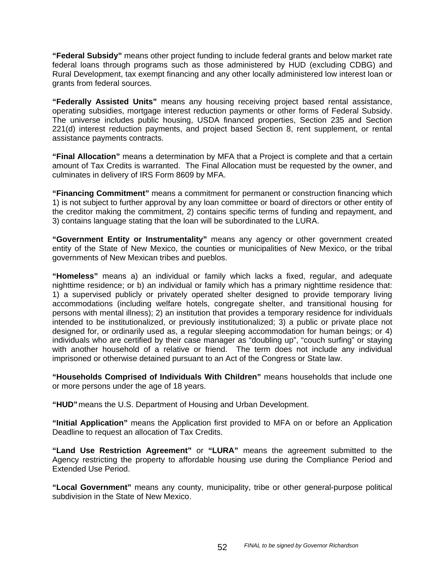**"Federal Subsidy"** means other project funding to include federal grants and below market rate federal loans through programs such as those administered by HUD (excluding CDBG) and Rural Development, tax exempt financing and any other locally administered low interest loan or grants from federal sources.

**"Federally Assisted Units"** means any housing receiving project based rental assistance, operating subsidies, mortgage interest reduction payments or other forms of Federal Subsidy. The universe includes public housing, USDA financed properties, Section 235 and Section 221(d) interest reduction payments, and project based Section 8, rent supplement, or rental assistance payments contracts.

**"Final Allocation"** means a determination by MFA that a Project is complete and that a certain amount of Tax Credits is warranted. The Final Allocation must be requested by the owner, and culminates in delivery of IRS Form 8609 by MFA.

**"Financing Commitment"** means a commitment for permanent or construction financing which 1) is not subject to further approval by any loan committee or board of directors or other entity of the creditor making the commitment, 2) contains specific terms of funding and repayment, and 3) contains language stating that the loan will be subordinated to the LURA.

**"Government Entity or Instrumentality"** means any agency or other government created entity of the State of New Mexico, the counties or municipalities of New Mexico, or the tribal governments of New Mexican tribes and pueblos.

**"Homeless"** means a) an individual or family which lacks a fixed, regular, and adequate nighttime residence; or b) an individual or family which has a primary nighttime residence that: 1) a supervised publicly or privately operated shelter designed to provide temporary living accommodations (including welfare hotels, congregate shelter, and transitional housing for persons with mental illness); 2) an institution that provides a temporary residence for individuals intended to be institutionalized, or previously institutionalized; 3) a public or private place not designed for, or ordinarily used as, a regular sleeping accommodation for human beings; or 4) individuals who are certified by their case manager as "doubling up", "couch surfing" or staying with another household of a relative or friend. The term does not include any individual imprisoned or otherwise detained pursuant to an Act of the Congress or State law.

**"Households Comprised of Individuals With Children"** means households that include one or more persons under the age of 18 years.

**"HUD"** means the U.S. Department of Housing and Urban Development.

**"Initial Application"** means the Application first provided to MFA on or before an Application Deadline to request an allocation of Tax Credits.

**"Land Use Restriction Agreement"** or **"LURA"** means the agreement submitted to the Agency restricting the property to affordable housing use during the Compliance Period and Extended Use Period.

**"Local Government"** means any county, municipality, tribe or other general-purpose political subdivision in the State of New Mexico.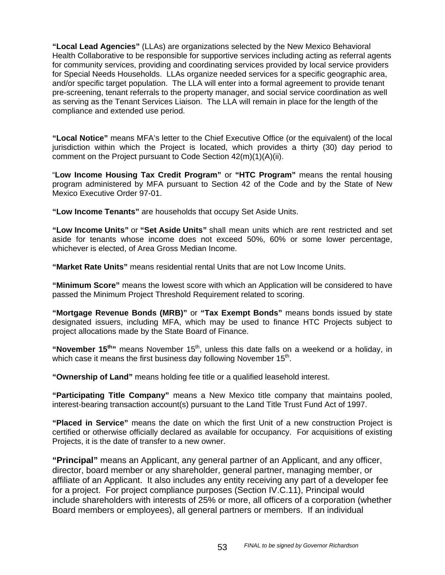**"Local Lead Agencies"** (LLAs) are organizations selected by the New Mexico Behavioral Health Collaborative to be responsible for supportive services including acting as referral agents for community services, providing and coordinating services provided by local service providers for Special Needs Households. LLAs organize needed services for a specific geographic area, and/or specific target population. The LLA will enter into a formal agreement to provide tenant pre-screening, tenant referrals to the property manager, and social service coordination as well as serving as the Tenant Services Liaison. The LLA will remain in place for the length of the compliance and extended use period.

**"Local Notice"** means MFA's letter to the Chief Executive Office (or the equivalent) of the local jurisdiction within which the Project is located, which provides a thirty (30) day period to comment on the Project pursuant to Code Section 42(m)(1)(A)(ii).

"**Low Income Housing Tax Credit Program"** or **"HTC Program"** means the rental housing program administered by MFA pursuant to Section 42 of the Code and by the State of New Mexico Executive Order 97-01.

**"Low Income Tenants"** are households that occupy Set Aside Units.

**"Low Income Units"** or **"Set Aside Units"** shall mean units which are rent restricted and set aside for tenants whose income does not exceed 50%, 60% or some lower percentage, whichever is elected, of Area Gross Median Income.

**"Market Rate Units"** means residential rental Units that are not Low Income Units.

**"Minimum Score"** means the lowest score with which an Application will be considered to have passed the Minimum Project Threshold Requirement related to scoring.

**"Mortgage Revenue Bonds (MRB)"** or **"Tax Exempt Bonds"** means bonds issued by state designated issuers, including MFA, which may be used to finance HTC Projects subject to project allocations made by the State Board of Finance.

"November 15<sup>th</sup>" means November 15<sup>th</sup>, unless this date falls on a weekend or a holiday, in which case it means the first business day following November  $15<sup>th</sup>$ .

**"Ownership of Land"** means holding fee title or a qualified leasehold interest.

**"Participating Title Company"** means a New Mexico title company that maintains pooled, interest-bearing transaction account(s) pursuant to the Land Title Trust Fund Act of 1997.

**"Placed in Service"** means the date on which the first Unit of a new construction Project is certified or otherwise officially declared as available for occupancy. For acquisitions of existing Projects, it is the date of transfer to a new owner.

**"Principal"** means an Applicant, any general partner of an Applicant, and any officer, director, board member or any shareholder, general partner, managing member, or affiliate of an Applicant. It also includes any entity receiving any part of a developer fee for a project. For project compliance purposes (Section IV.C.11), Principal would include shareholders with interests of 25% or more, all officers of a corporation (whether Board members or employees), all general partners or members. If an individual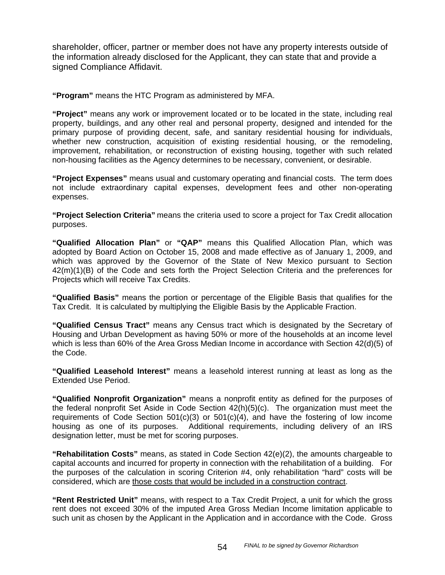shareholder, officer, partner or member does not have any property interests outside of the information already disclosed for the Applicant, they can state that and provide a signed Compliance Affidavit.

**"Program"** means the HTC Program as administered by MFA.

**"Project"** means any work or improvement located or to be located in the state, including real property, buildings, and any other real and personal property, designed and intended for the primary purpose of providing decent, safe, and sanitary residential housing for individuals, whether new construction, acquisition of existing residential housing, or the remodeling, improvement, rehabilitation, or reconstruction of existing housing, together with such related non-housing facilities as the Agency determines to be necessary, convenient, or desirable.

**"Project Expenses"** means usual and customary operating and financial costs. The term does not include extraordinary capital expenses, development fees and other non-operating expenses.

**"Project Selection Criteria"** means the criteria used to score a project for Tax Credit allocation purposes.

**"Qualified Allocation Plan"** or **"QAP"** means this Qualified Allocation Plan, which was adopted by Board Action on October 15, 2008 and made effective as of January 1, 2009, and which was approved by the Governor of the State of New Mexico pursuant to Section 42(m)(1)(B) of the Code and sets forth the Project Selection Criteria and the preferences for Projects which will receive Tax Credits.

**"Qualified Basis"** means the portion or percentage of the Eligible Basis that qualifies for the Tax Credit. It is calculated by multiplying the Eligible Basis by the Applicable Fraction.

**"Qualified Census Tract"** means any Census tract which is designated by the Secretary of Housing and Urban Development as having 50% or more of the households at an income level which is less than 60% of the Area Gross Median Income in accordance with Section 42(d)(5) of the Code.

**"Qualified Leasehold Interest"** means a leasehold interest running at least as long as the Extended Use Period.

**"Qualified Nonprofit Organization"** means a nonprofit entity as defined for the purposes of the federal nonprofit Set Aside in Code Section 42(h)(5)(c). The organization must meet the requirements of Code Section  $501(c)(3)$  or  $501(c)(4)$ , and have the fostering of low income housing as one of its purposes. Additional requirements, including delivery of an IRS designation letter, must be met for scoring purposes.

**"Rehabilitation Costs"** means, as stated in Code Section 42(e)(2), the amounts chargeable to capital accounts and incurred for property in connection with the rehabilitation of a building. For the purposes of the calculation in scoring Criterion #4, only rehabilitation "hard" costs will be considered, which are those costs that would be included in a construction contract.

**"Rent Restricted Unit"** means, with respect to a Tax Credit Project, a unit for which the gross rent does not exceed 30% of the imputed Area Gross Median Income limitation applicable to such unit as chosen by the Applicant in the Application and in accordance with the Code. Gross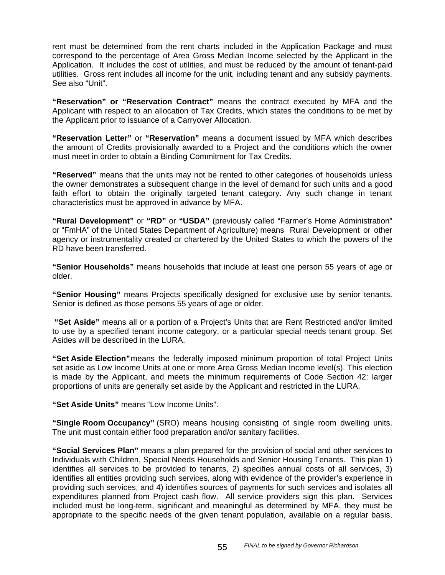rent must be determined from the rent charts included in the Application Package and must correspond to the percentage of Area Gross Median Income selected by the Applicant in the Application. It includes the cost of utilities, and must be reduced by the amount of tenant-paid utilities. Gross rent includes all income for the unit, including tenant and any subsidy payments. See also "Unit".

**"Reservation" or "Reservation Contract"** means the contract executed by MFA and the Applicant with respect to an allocation of Tax Credits, which states the conditions to be met by the Applicant prior to issuance of a Carryover Allocation.

**"Reservation Letter"** or **"Reservation"** means a document issued by MFA which describes the amount of Credits provisionally awarded to a Project and the conditions which the owner must meet in order to obtain a Binding Commitment for Tax Credits.

**"Reserved"** means that the units may not be rented to other categories of households unless the owner demonstrates a subsequent change in the level of demand for such units and a good faith effort to obtain the originally targeted tenant category. Any such change in tenant characteristics must be approved in advance by MFA.

**"Rural Development"** or **"RD"** or **"USDA"** (previously called "Farmer's Home Administration" or "FmHA" of the United States Department of Agriculture) means Rural Development or other agency or instrumentality created or chartered by the United States to which the powers of the RD have been transferred.

**"Senior Households"** means households that include at least one person 55 years of age or older.

**"Senior Housing"** means Projects specifically designed for exclusive use by senior tenants. Senior is defined as those persons 55 years of age or older.

 **"Set Aside"** means all or a portion of a Project's Units that are Rent Restricted and/or limited to use by a specified tenant income category, or a particular special needs tenant group. Set Asides will be described in the LURA.

**"Set Aside Election"** means the federally imposed minimum proportion of total Project Units set aside as Low Income Units at one or more Area Gross Median Income level(s). This election is made by the Applicant, and meets the minimum requirements of Code Section 42: larger proportions of units are generally set aside by the Applicant and restricted in the LURA.

**"Set Aside Units"** means "Low Income Units".

**"Single Room Occupancy"** (SRO) means housing consisting of single room dwelling units. The unit must contain either food preparation and/or sanitary facilities.

**"Social Services Plan"** means a plan prepared for the provision of social and other services to Individuals with Children, Special Needs Households and Senior Housing Tenants. This plan 1) identifies all services to be provided to tenants, 2) specifies annual costs of all services, 3) identifies all entities providing such services, along with evidence of the provider's experience in providing such services, and 4) identifies sources of payments for such services and isolates all expenditures planned from Project cash flow. All service providers sign this plan. Services included must be long-term, significant and meaningful as determined by MFA, they must be appropriate to the specific needs of the given tenant population, available on a regular basis,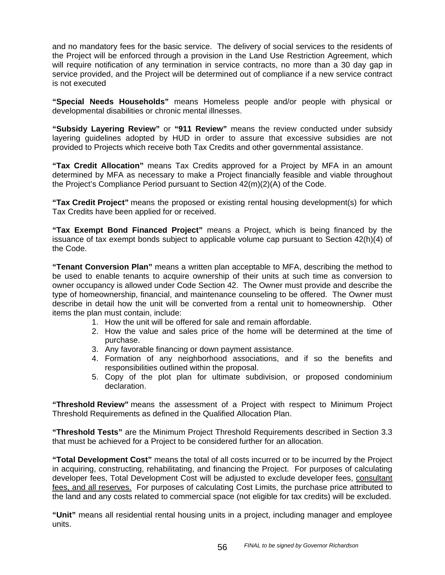and no mandatory fees for the basic service. The delivery of social services to the residents of the Project will be enforced through a provision in the Land Use Restriction Agreement, which will require notification of any termination in service contracts, no more than a 30 day gap in service provided, and the Project will be determined out of compliance if a new service contract is not executed

**"Special Needs Households"** means Homeless people and/or people with physical or developmental disabilities or chronic mental illnesses.

**"Subsidy Layering Review"** or **"911 Review"** means the review conducted under subsidy layering guidelines adopted by HUD in order to assure that excessive subsidies are not provided to Projects which receive both Tax Credits and other governmental assistance.

**"Tax Credit Allocation"** means Tax Credits approved for a Project by MFA in an amount determined by MFA as necessary to make a Project financially feasible and viable throughout the Project's Compliance Period pursuant to Section 42(m)(2)(A) of the Code.

**"Tax Credit Project"** means the proposed or existing rental housing development(s) for which Tax Credits have been applied for or received.

**"Tax Exempt Bond Financed Project"** means a Project, which is being financed by the issuance of tax exempt bonds subject to applicable volume cap pursuant to Section 42(h)(4) of the Code.

**"Tenant Conversion Plan"** means a written plan acceptable to MFA, describing the method to be used to enable tenants to acquire ownership of their units at such time as conversion to owner occupancy is allowed under Code Section 42. The Owner must provide and describe the type of homeownership, financial, and maintenance counseling to be offered. The Owner must describe in detail how the unit will be converted from a rental unit to homeownership. Other items the plan must contain, include:

- 1. How the unit will be offered for sale and remain affordable.
- 2. How the value and sales price of the home will be determined at the time of purchase.
- 3. Any favorable financing or down payment assistance.
- 4. Formation of any neighborhood associations, and if so the benefits and responsibilities outlined within the proposal.
- 5. Copy of the plot plan for ultimate subdivision, or proposed condominium declaration.

**"Threshold Review"** means the assessment of a Project with respect to Minimum Project Threshold Requirements as defined in the Qualified Allocation Plan.

**"Threshold Tests"** are the Minimum Project Threshold Requirements described in Section 3.3 that must be achieved for a Project to be considered further for an allocation.

**"Total Development Cost"** means the total of all costs incurred or to be incurred by the Project in acquiring, constructing, rehabilitating, and financing the Project. For purposes of calculating developer fees, Total Development Cost will be adjusted to exclude developer fees, consultant fees, and all reserves. For purposes of calculating Cost Limits, the purchase price attributed to the land and any costs related to commercial space (not eligible for tax credits) will be excluded.

**"Unit"** means all residential rental housing units in a project, including manager and employee units.